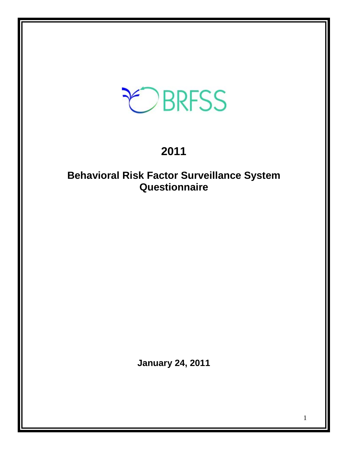# EBRFSS

# **2011**

# **Behavioral Risk Factor Surveillance System Questionnaire**

**January 24, 2011**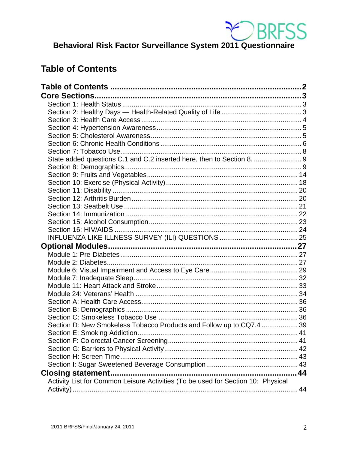

**BERFSS**<br>Behavioral Risk Factor Surveillance System 2011 Questionnaire

# <span id="page-1-0"></span>**Table of Contents**

| State added questions C.1 and C.2 inserted here, then to Section 8.  9           |    |
|----------------------------------------------------------------------------------|----|
|                                                                                  |    |
|                                                                                  |    |
|                                                                                  |    |
|                                                                                  |    |
|                                                                                  |    |
|                                                                                  |    |
|                                                                                  |    |
|                                                                                  |    |
|                                                                                  |    |
|                                                                                  |    |
|                                                                                  |    |
|                                                                                  |    |
|                                                                                  |    |
|                                                                                  |    |
|                                                                                  |    |
|                                                                                  |    |
|                                                                                  |    |
|                                                                                  |    |
|                                                                                  |    |
|                                                                                  |    |
|                                                                                  |    |
| Section D: New Smokeless Tobacco Products and Follow up to CQ7.4  39             |    |
|                                                                                  |    |
|                                                                                  |    |
|                                                                                  |    |
|                                                                                  |    |
|                                                                                  |    |
|                                                                                  |    |
| Activity List for Common Leisure Activities (To be used for Section 10: Physical | 44 |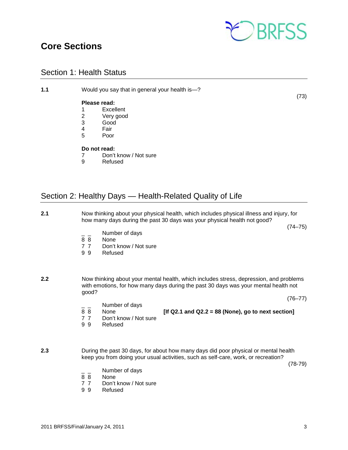<span id="page-2-0"></span>



# <span id="page-2-1"></span>Section 1: Health Status

| 1.1 | Would you say that in general your health is-? |                       |      |  |
|-----|------------------------------------------------|-----------------------|------|--|
|     |                                                | Please read:          | (73) |  |
|     | 1                                              | Excellent             |      |  |
|     | 2                                              | Very good             |      |  |
|     | 3                                              | Good                  |      |  |
|     | 4                                              | Fair                  |      |  |
|     | 5                                              | Poor                  |      |  |
|     |                                                | Do not read:          |      |  |
|     | 7                                              | Don't know / Not sure |      |  |
|     | 9                                              | Refused               |      |  |
|     |                                                |                       |      |  |

# <span id="page-2-2"></span>Section 2: Healthy Days — Health-Related Quality of Life

| 2.1 |                                                       |                                                            | Now thinking about your physical health, which includes physical illness and injury, for<br>how many days during the past 30 days was your physical health not good?          |             |
|-----|-------------------------------------------------------|------------------------------------------------------------|-------------------------------------------------------------------------------------------------------------------------------------------------------------------------------|-------------|
|     | $\overline{8}$ $\overline{8}$<br>7 <sub>7</sub><br>99 | Number of days<br>None<br>Don't know / Not sure<br>Refused |                                                                                                                                                                               | $(74 - 75)$ |
| 2.2 | good?                                                 |                                                            | Now thinking about your mental health, which includes stress, depression, and problems<br>with emotions, for how many days during the past 30 days was your mental health not |             |
|     |                                                       |                                                            |                                                                                                                                                                               | $(76 - 77)$ |
|     | 88<br>7 <sub>7</sub><br>99                            | Number of days<br>None<br>Don't know / Not sure<br>Refused | [If Q2.1 and Q2.2 = 88 (None), go to next section]                                                                                                                            |             |
| 2.3 |                                                       |                                                            | During the past 30 days, for about how many days did poor physical or mental health<br>keep you from doing your usual activities, such as self-care, work, or recreation?     | $(78-79)$   |
|     |                                                       | Number of days                                             |                                                                                                                                                                               |             |
|     | $\overline{8}$ $\overline{8}$                         | None                                                       |                                                                                                                                                                               |             |
|     | 7 <sub>7</sub><br>9<br>9                              | Don't know / Not sure<br>Refused                           |                                                                                                                                                                               |             |
|     |                                                       |                                                            |                                                                                                                                                                               |             |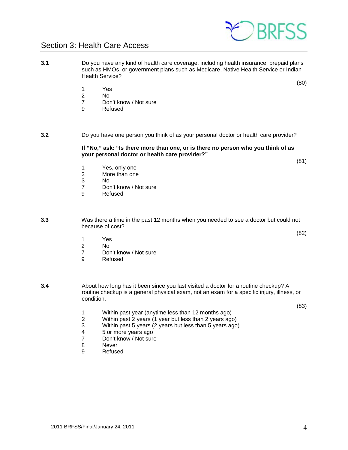# <span id="page-3-0"></span>Section 3: Health Care Access

- **3.1** Do you have any kind of health care coverage, including health insurance, prepaid plans such as HMOs, or government plans such as Medicare, Native Health Service or Indian Health Service?
	- 1 Yes<br>2 No
	- N<sub>o</sub>
	- 7 Don't know / Not sure
	- 9 Refused
- **3.2** Do you have one person you think of as your personal doctor or health care provider?

**If "No," ask: "Is there more than one, or is there no person who you think of as your personal doctor or health care provider?"**

- 
- 1 Yes, only one<br>2 More than one More than one
- 
- 3 No 7 Don't know / Not sure<br>9 Refused
- **Refused**
- **3.3** Was there a time in the past 12 months when you needed to see a doctor but could not because of cost?
	- 1 Yes
	- 2 No<br>7 Dou
	- 7 Don't know / Not sure<br>9 Refused
	- **Refused**
- **3.4** About how long has it been since you last visited a doctor for a routine checkup? A routine checkup is a general physical exam, not an exam for a specific injury, illness, or condition.
	- 1 Within past year (anytime less than 12 months ago)<br>2 Within past 2 years (1 year but less than 2 years ago
	- 2 Within past 2 years (1 year but less than 2 years ago)
	- 3 Within past 5 years (2 years but less than 5 years ago)
	- 4 5 or more years ago<br>7 Don't know / Not sure
	- Don't know / Not sure
	- 8 Never
	- 9 Refused



(81)

(80)

(83)

(82)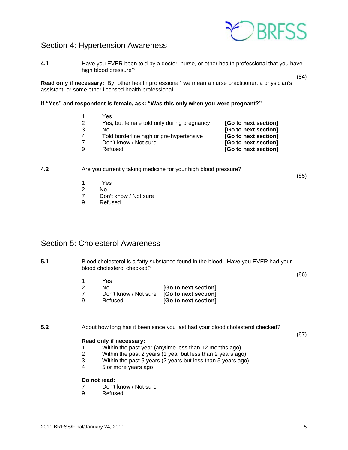# <span id="page-4-0"></span>Section 4: Hypertension Awareness

**4.1** Have you EVER been told by a doctor, nurse, or other health professional that you have high blood pressure?

**Read only if necessary:** By "other health professional" we mean a nurse practitioner, a physician's assistant, or some other licensed health professional.

#### **If "Yes" and respondent is female, ask: "Was this only when you were pregnant?"**

|   | Yes                                        |                      |
|---|--------------------------------------------|----------------------|
| 2 | Yes, but female told only during pregnancy | [Go to next section] |
| 3 | N٥                                         | [Go to next section] |
| 4 | Told borderline high or pre-hypertensive   | [Go to next section] |
|   | Don't know / Not sure                      | [Go to next section] |
| 9 | Refused                                    | [Go to next section] |
|   |                                            |                      |

#### **4.2** Are you currently taking medicine for your high blood pressure?

- 
- 1 Yes<br>2 No N<sub>o</sub>
- 7 Don't know / Not sure
- 9 Refused

### <span id="page-4-1"></span>Section 5: Cholesterol Awareness

**5.1** Blood cholesterol is a fatty substance found in the blood. Have you EVER had your blood cholesterol checked?

(86)

(87)

(84)

(85)

- 1 Yes<br>2 No
- 2 No [**Go to next section]**
- 
- 7 Don't know / Not sure [**Go to next section] [Go to next section]**

**5.2** About how long has it been since you last had your blood cholesterol checked?

#### **Read only if necessary:**

- 1 Within the past year (anytime less than 12 months ago)
- 2 Within the past 2 years (1 year but less than 2 years ago)
- 3 Within the past 5 years (2 years but less than 5 years ago)<br>4 5 or more years ago
- 4 5 or more years ago

#### **Do not read:**

- 7 Don't know / Not sure<br>9 Refused
- **Refused**



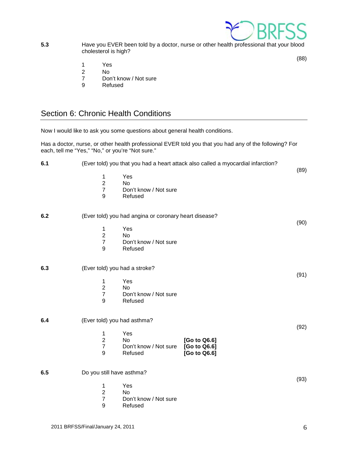

**5.3 Have you EVER been told by a doctor, nurse or other health professional that your blood** cholesterol is high?

(88)

- 1 Yes<br>2 No
- 2 No
- 7 Don't know / Not sure<br>9 Refused
- Refused

# <span id="page-5-0"></span>Section 6: Chronic Health Conditions

|     |                                                       | Now I would like to ask you some questions about general health conditions. |                                                                                                        |      |
|-----|-------------------------------------------------------|-----------------------------------------------------------------------------|--------------------------------------------------------------------------------------------------------|------|
|     | each, tell me "Yes," "No," or you're "Not sure."      |                                                                             | Has a doctor, nurse, or other health professional EVER told you that you had any of the following? For |      |
| 6.1 |                                                       |                                                                             | (Ever told) you that you had a heart attack also called a myocardial infarction?                       | (89) |
|     | 1<br>$\overline{c}$<br>$\overline{7}$<br>9            | Yes<br>No.<br>Don't know / Not sure<br>Refused                              |                                                                                                        |      |
| 6.2 |                                                       | (Ever told) you had angina or coronary heart disease?                       |                                                                                                        | (90) |
|     | $\mathbf{1}$<br>$\overline{2}$<br>$\overline{7}$<br>9 | Yes<br>No<br>Don't know / Not sure<br>Refused                               |                                                                                                        |      |
| 6.3 | (Ever told) you had a stroke?                         |                                                                             |                                                                                                        | (91) |
|     | 1<br>$\overline{2}$<br>$\overline{7}$<br>9            | Yes<br>No<br>Don't know / Not sure<br>Refused                               |                                                                                                        |      |
| 6.4 | (Ever told) you had asthma?                           |                                                                             |                                                                                                        |      |
|     | $\mathbf{1}$<br>$\overline{2}$<br>$\overline{7}$<br>9 | Yes<br>No.<br>Don't know / Not sure<br>Refused                              | [Go to Q6.6]<br>[Go to Q6.6]<br>[Go to Q6.6]                                                           | (92) |
| 6.5 | Do you still have asthma?                             |                                                                             |                                                                                                        | (93) |
|     | 1<br>$\overline{2}$<br>$\overline{7}$<br>9            | Yes<br>No<br>Don't know / Not sure<br>Refused                               |                                                                                                        |      |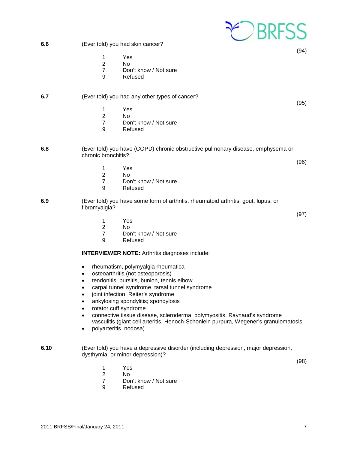|      | <b>EDBRESS</b>                                                                                                                                                                                                                                                                                                                                                                                                                                                                                                                                                                                                                       |      |
|------|--------------------------------------------------------------------------------------------------------------------------------------------------------------------------------------------------------------------------------------------------------------------------------------------------------------------------------------------------------------------------------------------------------------------------------------------------------------------------------------------------------------------------------------------------------------------------------------------------------------------------------------|------|
| 6.6  | (Ever told) you had skin cancer?                                                                                                                                                                                                                                                                                                                                                                                                                                                                                                                                                                                                     |      |
|      | 1<br>Yes<br>$\overline{2}$<br><b>No</b><br>$\overline{7}$<br>Don't know / Not sure<br>9<br>Refused                                                                                                                                                                                                                                                                                                                                                                                                                                                                                                                                   | (94) |
| 6.7  | (Ever told) you had any other types of cancer?<br>Yes<br>1<br>$\overline{2}$<br><b>No</b><br>$\overline{7}$<br>Don't know / Not sure<br>9<br>Refused                                                                                                                                                                                                                                                                                                                                                                                                                                                                                 | (95) |
| 6.8  | (Ever told) you have (COPD) chronic obstructive pulmonary disease, emphysema or<br>chronic bronchitis?<br>Yes<br>1<br>$\overline{2}$<br><b>No</b><br>$\overline{7}$<br>Don't know / Not sure<br>9<br>Refused                                                                                                                                                                                                                                                                                                                                                                                                                         | (96) |
| 6.9  | (Ever told) you have some form of arthritis, rheumatoid arthritis, gout, lupus, or<br>fibromyalgia?<br>Yes<br>1<br>$\overline{2}$<br><b>No</b><br>$\overline{7}$<br>Don't know / Not sure<br>9<br>Refused                                                                                                                                                                                                                                                                                                                                                                                                                            | (97) |
|      | <b>INTERVIEWER NOTE: Arthritis diagnoses include:</b><br>rheumatism, polymyalgia rheumatica<br>osteoarthritis (not osteoporosis)<br>٠<br>tendonitis, bursitis, bunion, tennis elbow<br>$\bullet$<br>carpal tunnel syndrome, tarsal tunnel syndrome<br>$\bullet$<br>joint infection, Reiter's syndrome<br>$\bullet$<br>ankylosing spondylitis; spondylosis<br>$\bullet$<br>rotator cuff syndrome<br>$\bullet$<br>connective tissue disease, scleroderma, polymyositis, Raynaud's syndrome<br>$\bullet$<br>vasculitis (giant cell arteritis, Henoch-Schonlein purpura, Wegener's granulomatosis,<br>polyarteritis nodosa)<br>$\bullet$ |      |
| 6.10 | (Ever told) you have a depressive disorder (including depression, major depression,<br>dysthymia, or minor depression)?<br>Yes<br>1<br>$\overline{c}$<br>No<br>$\overline{7}$<br>Don't know / Not sure<br>9<br>Refused                                                                                                                                                                                                                                                                                                                                                                                                               | (98) |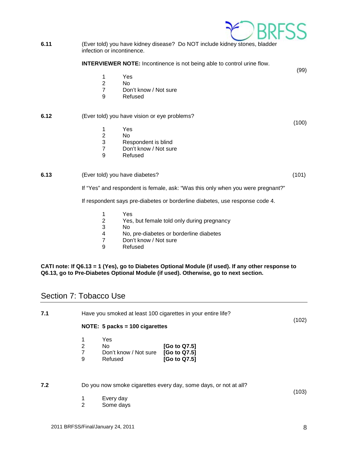1 Yes<br>2 No N<sub>o</sub> 7 Don't know / Not sure 9 Refused

**INTERVIEWER NOTE:** Incontinence is not being able to control urine flow.

# **6.12** (Ever told) you have vision or eye problems?

1 Yes

infection or incontinence.

- 2 No<br>3 Res
- Respondent is blind
- 7 Don't know / Not sure
- 9 Refused

### **6.13** (Ever told) you have diabetes? (101)

If "Yes" and respondent is female, ask: "Was this only when you were pregnant?"

If respondent says pre-diabetes or borderline diabetes, use response code 4.

- 1 Yes<br>2 Yes.
- Yes, but female told only during pregnancy
- 3 No
- 4 No, pre-diabetes or borderline diabetes<br>7 Don't know / Not sure
- 7 Don't know / Not sure<br>9 Refused
- **Refused**

#### **CATI note: If Q6.13 = 1 (Yes), go to Diabetes Optional Module (if used). If any other response to Q6.13, go to Pre-Diabetes Optional Module (if used). Otherwise, go to next section.**

# <span id="page-7-0"></span>Section 7: Tobacco Use

| 7.1 |   |                                  | Have you smoked at least 100 cigarettes in your entire life? | (102) |
|-----|---|----------------------------------|--------------------------------------------------------------|-------|
|     |   | NOTE: $5$ packs = 100 cigarettes |                                                              |       |
|     |   | Yes                              |                                                              |       |
|     | 2 | No.                              | [Go to Q7.5]                                                 |       |
|     |   | Don't know / Not sure            | [Go to Q7.5]                                                 |       |
|     | 9 | Refused                          | [Go to Q7.5]                                                 |       |
|     |   |                                  |                                                              |       |
|     |   |                                  |                                                              |       |
|     |   |                                  |                                                              |       |

**7.2** Do you now smoke cigarettes every day, some days, or not at all?

- 1 Every day
- 2 Some days



(103)

(100)

(99)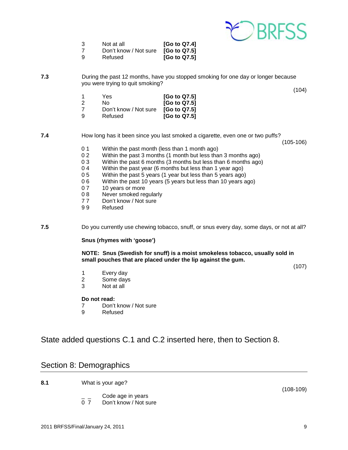

| -3  | Not at all            | [Go to Q7.4]             |
|-----|-----------------------|--------------------------|
|     | Don't know / Not sure | [G <sub>o</sub> to Q7.5] |
| - 9 | Refused               | [G <sub>o</sub> to Q7.5] |

**7.3** During the past 12 months, have you stopped smoking for one day or longer because you were trying to quit smoking?

(104)

|   | Yes                   | [Go to Q7.5] |
|---|-----------------------|--------------|
| 2 | Nο                    | [Go to Q7.5] |
| 7 | Don't know / Not sure | [Go to Q7.5] |
| 9 | Refused               | [Go to Q7.5] |

**7.4** How long has it been since you last smoked a cigarette, even one or two puffs?

(105-106)

- 0 1 Within the past month (less than 1 month ago)
- 0 2 Within the past 3 months (1 month but less than 3 months ago)<br>0 3 Within the past 6 months (3 months but less than 6 months ago)
- 0 3 Within the past 6 months (3 months but less than 6 months ago)  $(0.4)$  Within the past year (6 months but less than 1 year ago)
- 0 4 Within the past year (6 months but less than 1 year ago)<br>0 5 Within the past 5 years (1 year but less than 5 years ago
- 0 5 Within the past 5 years (1 year but less than 5 years ago)<br>0 6 Within the past 10 years (5 years but less than 10 years a
- 0 6 Within the past 10 years (5 years but less than 10 years ago)<br>0 7 10 years or more
- 
- 0 7 10 years or more<br>0 8 Never smoked ree 0 8 Never smoked regularly<br>7 7 Don't know / Not sure
- Don't know / Not sure
- 9 9 Refused

**7.5** Do you currently use chewing tobacco, snuff, or snus every day, some days, or not at all?

#### **Snus (rhymes with 'goose')**

**NOTE: Snus (Swedish for snuff) is a moist smokeless tobacco, usually sold in small pouches that are placed under the lip against the gum.**

(107)

- 1 Every day
- 2 Some days
- 3 Not at all

#### **Do not read:**

- 7 Don't know / Not sure<br>9 Refused
- **Refused**

<span id="page-8-0"></span>State added questions C.1 and C.2 inserted here, then to Section 8.

### <span id="page-8-1"></span>Section 8: Demographics

**8.1** What is your age?

 $\frac{1}{2}$  Code age in years<br>0.7 Don't know / Not su Don't know / Not sure (108-109)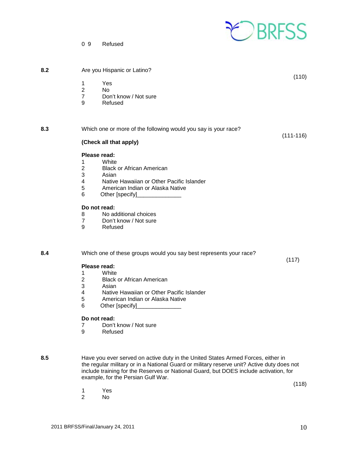

(110)

0 9 Refused

**8.2** Are you Hispanic or Latino?

- 1 Yes
- 2 No
- 7 Don't know / Not sure<br>9 Refused
- **Refused**

**8.3** Which one or more of the following would you say is your race? (111-116) **(Check all that apply) Please read:** 1 White<br>2 Black 2 Black or African American<br>3 Asian 3 Asian<br>4 Native

- 4 Native Hawaiian or Other Pacific Islander<br>5 American Indian or Alaska Native
- 5 American Indian or Alaska Native
- 6 Other [specify]\_\_\_\_\_\_\_\_\_\_\_\_\_\_

#### **Do not read:**

- 8 No additional choices<br>7 Don't know / Not sure
- Don't know / Not sure
- 9 Refused

**8.4** Which one of these groups would you say best represents your race?

#### **Please read:**

- 1 White
- 2 Black or African American
- 3 Asian<br>4 Native
- 4 Native Hawaiian or Other Pacific Islander<br>5 American Indian or Alaska Native
- 5 American Indian or Alaska Native
- 6 Other [specify]

#### **Do not read:**

- 7 Don't know / Not sure
- 9 Refused

**8.5** Have you ever served on active duty in the United States Armed Forces, either in the regular military or in a National Guard or military reserve unit? Active duty does not include training for the Reserves or National Guard, but DOES include activation, for example, for the Persian Gulf War.

(118)

(117)

1 Yes<br>2 No No.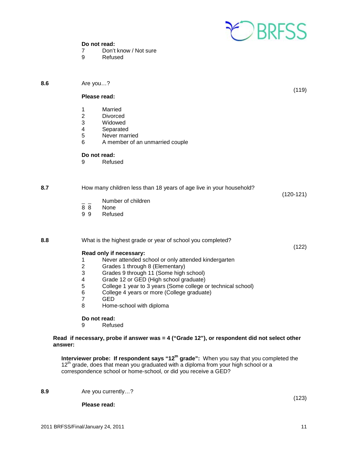

# **Do not read:**<br>7 Don't

**8.6** Are you…?

- 7 Don't know / Not sure<br>9 Refused
- **Refused**

|     |                                                                       | Please read:                                                                                                                                                                                                                                                                                                                                                                             | (119)       |
|-----|-----------------------------------------------------------------------|------------------------------------------------------------------------------------------------------------------------------------------------------------------------------------------------------------------------------------------------------------------------------------------------------------------------------------------------------------------------------------------|-------------|
|     | 1<br>$\boldsymbol{2}$<br>3<br>$\overline{\mathbf{4}}$<br>5<br>6       | Married<br><b>Divorced</b><br>Widowed<br>Separated<br>Never married<br>A member of an unmarried couple                                                                                                                                                                                                                                                                                   |             |
|     | 9                                                                     | Do not read:<br>Refused                                                                                                                                                                                                                                                                                                                                                                  |             |
| 8.7 | 88<br>99                                                              | How many children less than 18 years of age live in your household?<br>Number of children<br>None<br>Refused                                                                                                                                                                                                                                                                             | $(120-121)$ |
| 8.8 | 1<br>$\boldsymbol{2}$<br>3<br>4<br>$\mathbf 5$<br>6<br>$\overline{7}$ | What is the highest grade or year of school you completed?<br>Read only if necessary:<br>Never attended school or only attended kindergarten<br>Grades 1 through 8 (Elementary)<br>Grades 9 through 11 (Some high school)<br>Grade 12 or GED (High school graduate)<br>College 1 year to 3 years (Some college or technical school)<br>College 4 years or more (College graduate)<br>GED | (122)       |
|     | 8                                                                     | Home-school with diploma                                                                                                                                                                                                                                                                                                                                                                 |             |

# **Do not read:**<br>9 Refus

**Refused** 

#### **Read if necessary, probe if answer was = 4 ("Grade 12"), or respondent did not select other answer:**

**Interviewer probe: If respondent says "12<sup>th</sup> grade":** When you say that you completed the 12<sup>th</sup> grade, does that mean you graduated with a diploma from your high school or a correspondence school or home-school, or did you receive a GED?

**8.9** Are you currently…?

**Please read:**

(123)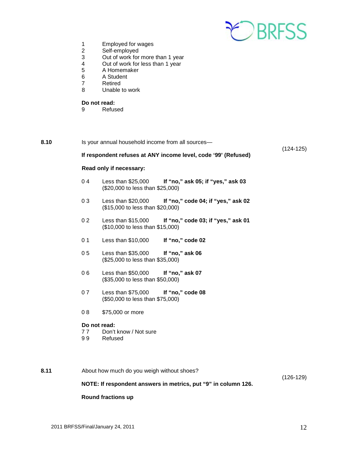

- 1 Employed for wages<br>2 Self-employed
- 2 Self-employed
- 3 Out of work for more than 1 year
- 4 Out of work for less than 1 year
- 5 A Homemaker<br>6 A Student
- 6 A Student<br>7 Retired
- 7 Retired<br>8 Unable
- Unable to work

# **Do not read:**<br>9 Refus

**Refused** 

| 8.10 |                                                                | Is your annual household income from all sources-                                            | $(124-125)$ |  |
|------|----------------------------------------------------------------|----------------------------------------------------------------------------------------------|-------------|--|
|      | If respondent refuses at ANY income level, code '99' (Refused) |                                                                                              |             |  |
|      | Read only if necessary:                                        |                                                                                              |             |  |
|      | 04                                                             | Less than \$25,000<br>If "no," ask 05; if "yes," ask 03<br>(\$20,000 to less than \$25,000)  |             |  |
|      | 03                                                             | If "no," code 04; if "yes," ask 02<br>Less than \$20,000<br>(\$15,000 to less than \$20,000) |             |  |
|      | 0 <sub>2</sub>                                                 | Less than \$15,000<br>If "no," code 03; if "yes," ask 01<br>(\$10,000 to less than \$15,000) |             |  |
|      | 0 <sub>1</sub>                                                 | Less than \$10,000<br>If "no," code 02                                                       |             |  |
|      | 05                                                             | Less than \$35,000<br>If "no," ask 06<br>(\$25,000 to less than \$35,000)                    |             |  |
|      | 06                                                             | Less than \$50,000<br>If "no," ask 07<br>(\$35,000 to less than \$50,000)                    |             |  |
|      | 07                                                             | Less than \$75,000<br>If "no," code 08<br>(\$50,000 to less than \$75,000)                   |             |  |
|      | 08                                                             | \$75,000 or more                                                                             |             |  |
|      | Do not read:<br>77<br>99                                       | Don't know / Not sure<br>Refused                                                             |             |  |
| 8.11 |                                                                | About how much do you weigh without shoes?                                                   | $(126-129)$ |  |

### **NOTE: If respondent answers in metrics, put "9" in column 126.**

#### **Round fractions up**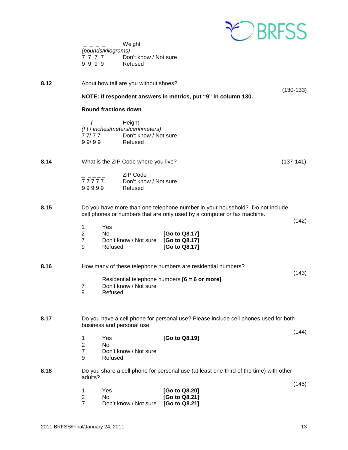

|      | Weight<br>(pounds/kilograms)<br>7777<br>Don't know / Not sure<br>9999<br>Refused                          |                                                                                                                                                         |             |
|------|-----------------------------------------------------------------------------------------------------------|---------------------------------------------------------------------------------------------------------------------------------------------------------|-------------|
| 8.12 | About how tall are you without shoes?                                                                     |                                                                                                                                                         | $(130-133)$ |
|      |                                                                                                           | NOTE: If respondent answers in metrics, put "9" in column 130.                                                                                          |             |
|      | <b>Round fractions down</b>                                                                               |                                                                                                                                                         |             |
|      | Height<br>$-1$<br>(f t / inches/meters/centimeters)<br>Don't know / Not sure<br>77/77<br>99/99<br>Refused |                                                                                                                                                         |             |
| 8.14 | What is the ZIP Code where you live?                                                                      |                                                                                                                                                         | $(137-141)$ |
|      | <b>ZIP Code</b><br>77777<br>Don't know / Not sure<br>99999<br>Refused                                     |                                                                                                                                                         |             |
| 8.15 |                                                                                                           | Do you have more than one telephone number in your household? Do not include<br>cell phones or numbers that are only used by a computer or fax machine. | (142)       |
|      | Yes<br>1<br>$\overline{2}$<br>No<br>$\overline{7}$<br>Don't know / Not sure<br>9<br>Refused               | [Go to Q8.17]<br>[Go to Q8.17]<br>[Go to Q8.17]                                                                                                         |             |
| 8.16 |                                                                                                           | How many of these telephone numbers are residential numbers?                                                                                            |             |
|      | $\overline{7}$<br>Don't know / Not sure<br>9<br>Refused                                                   | Residential telephone numbers [6 = 6 or more]                                                                                                           | (143)       |
| 8.17 | business and personal use.                                                                                | Do you have a cell phone for personal use? Please include cell phones used for both                                                                     | (144)       |
|      | Yes<br>1<br>$\overline{2}$<br><b>No</b><br>$\overline{7}$<br>Don't know / Not sure<br>9<br>Refused        | [Go to Q8.19]                                                                                                                                           |             |
| 8.18 | adults?                                                                                                   | Do you share a cell phone for personal use (at least one-third of the time) with other                                                                  |             |
|      | Yes<br>1<br>$\overline{c}$<br>No<br>$\overline{7}$<br>Don't know / Not sure                               | [Go to Q8.20]<br>[Go to Q8.21]<br>[Go to Q8.21]                                                                                                         | (145)       |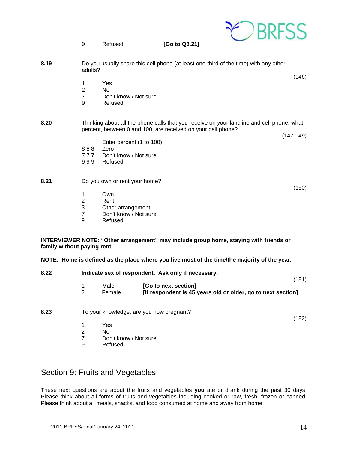|                             | 9                                               | Refused                                                              | [Go to Q8.21]                                                                                                                                                            |       |
|-----------------------------|-------------------------------------------------|----------------------------------------------------------------------|--------------------------------------------------------------------------------------------------------------------------------------------------------------------------|-------|
| 8.19                        | adults?                                         |                                                                      | Do you usually share this cell phone (at least one-third of the time) with any other                                                                                     |       |
|                             | 1<br>$\overline{2}$<br>$\overline{7}$<br>9      | Yes<br>No<br>Don't know / Not sure<br>Refused                        |                                                                                                                                                                          | (146) |
| 8.20                        |                                                 |                                                                      | Thinking about all the phone calls that you receive on your landline and cell phone, what<br>percent, between 0 and 100, are received on your cell phone?<br>$(147-149)$ |       |
|                             | $ -$<br>888<br>777<br>999                       | Enter percent (1 to 100)<br>Zero<br>Don't know / Not sure<br>Refused |                                                                                                                                                                          |       |
| 8.21                        |                                                 | Do you own or rent your home?                                        |                                                                                                                                                                          | (150) |
|                             | 1<br>$\overline{c}$<br>3<br>$\overline{7}$<br>9 | Own<br>Rent<br>Other arrangement<br>Don't know / Not sure<br>Refused |                                                                                                                                                                          |       |
| family without paying rent. |                                                 |                                                                      | INTERVIEWER NOTE: "Other arrangement" may include group home, staying with friends or                                                                                    |       |
|                             |                                                 |                                                                      | NOTE: Home is defined as the place where you live most of the time/the majority of the year.                                                                             |       |
| 8.22                        |                                                 |                                                                      | Indicate sex of respondent. Ask only if necessary.                                                                                                                       | (151) |
|                             | 1<br>$\overline{2}$                             | Male<br>Female                                                       | [Go to next section]<br>[If respondent is 45 years old or older, go to next section]                                                                                     |       |
| 8.23                        |                                                 | To your knowledge, are you now pregnant?                             |                                                                                                                                                                          | (152) |
|                             | 1<br>$\overline{2}$<br>$\overline{7}$<br>9      | Yes<br>No<br>Don't know / Not sure<br>Refused                        |                                                                                                                                                                          |       |

# <span id="page-13-0"></span>Section 9: Fruits and Vegetables

These next questions are about the fruits and vegetables **you** ate or drank during the past 30 days. Please think about all forms of fruits and vegetables including cooked or raw, fresh, frozen or canned. Please think about all meals, snacks, and food consumed at home and away from home.

CBRFSS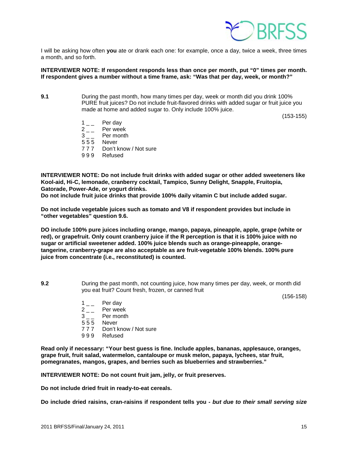

I will be asking how often **you** ate or drank each one: for example, once a day, twice a week, three times a month, and so forth.

#### **INTERVIEWER NOTE: If respondent responds less than once per month, put "0" times per month. If respondent gives a number without a time frame, ask: "Was that per day, week, or month?"**

**9.1** During the past month, how many times per day, week or month did you drink 100% PURE fruit juices? Do not include fruit-flavored drinks with added sugar or fruit juice you made at home and added sugar to. Only include 100% juice.

(153-155)

- $1 \quad \quad \text{Per day} \\ 2 \quad \quad \text{Per week}$
- $2 -$  Per week<br>3 Per month
- Per month
- 5 5 5 Never
- 7 7 7 Don't know / Not sure
- 9 9 9 Refused

**INTERVIEWER NOTE: Do not include fruit drinks with added sugar or other added sweeteners like Kool-aid, Hi-C, lemonade, cranberry cocktail, Tampico, Sunny Delight, Snapple, Fruitopia, Gatorade, Power-Ade, or yogurt drinks.** 

**Do not include fruit juice drinks that provide 100% daily vitamin C but include added sugar.**

**Do not include vegetable juices such as tomato and V8 if respondent provides but include in "other vegetables" question 9.6.**

**DO include 100% pure juices including orange, mango, papaya, pineapple, apple, grape (white or red), or grapefruit. Only count cranberry juice if the R perception is that it is 100% juice with no sugar or artificial sweetener added. 100% juice blends such as orange-pineapple, orangetangerine, cranberry-grape are also acceptable as are fruit-vegetable 100% blends. 100% pure juice from concentrate (i.e., reconstituted) is counted.** 

**9.2** During the past month, not counting juice, how many times per day, week, or month did you eat fruit? Count fresh, frozen, or canned fruit

(156-158)

- $1\qquad$  Per day
- $2_{--}$  Per week<br>3 Per month
- Per month
- 5 5 5 Never
- 7 7 7 Don't know / Not sure
- 9 9 9 Refused

**Read only if necessary: "Your best guess is fine. Include apples, bananas, applesauce, oranges, grape fruit, fruit salad, watermelon, cantaloupe or musk melon, papaya, lychees, star fruit, pomegranates, mangos, grapes, and berries such as blueberries and strawberries."**

**INTERVIEWER NOTE: Do not count fruit jam, jelly, or fruit preserves.** 

**Do not include dried fruit in ready-to-eat cereals.** 

**Do include dried raisins, cran-raisins if respondent tells you -** *but due to their small serving size*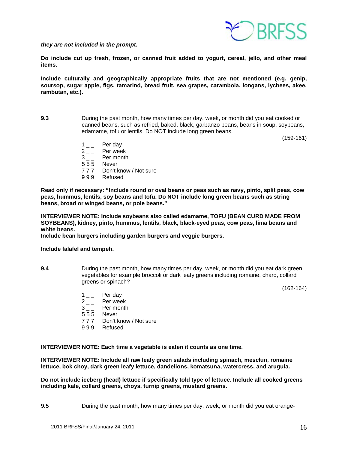*they are not included in the prompt.*



**Do include cut up fresh, frozen, or canned fruit added to yogurt, cereal, jello, and other meal items.**

**Include culturally and geographically appropriate fruits that are not mentioned (e.g. genip, soursop, sugar apple, figs, tamarind, bread fruit, sea grapes, carambola, longans, lychees, akee, rambutan, etc.).**

**9.3** During the past month, how many times per day, week, or month did you eat cooked or canned beans, such as refried, baked, black, garbanzo beans, beans in soup, soybeans, edamame, tofu or lentils. Do NOT include long green beans.

(159-161)

- 
- $1 \quad \quad$  Per day<br> $2 \quad \quad$  Per wee  $2_{--}$  Per week<br>3 Per month
- Per month
- 5 5 5 Never
- 7 7 7 Don't know / Not sure
- 9 9 9 Refused

**Read only if necessary: "Include round or oval beans or peas such as navy, pinto, split peas, cow peas, hummus, lentils, soy beans and tofu. Do NOT include long green beans such as string beans, broad or winged beans, or pole beans."**

**INTERVIEWER NOTE: Include soybeans also called edamame, TOFU (BEAN CURD MADE FROM SOYBEANS), kidney, pinto, hummus, lentils, black, black-eyed peas, cow peas, lima beans and white beans.**

**Include bean burgers including garden burgers and veggie burgers.**

**Include falafel and tempeh.**

**9.4** During the past month, how many times per day, week, or month did you eat dark green vegetables for example broccoli or dark leafy greens including romaine, chard, collard greens or spinach?

(162-164)

- 
- $\begin{bmatrix} 1 & -1 \\ 2 & -1 \end{bmatrix}$  Per wee  $2 \nightharpoonup$  Per week<br>3 Per month
- Per month<br>Never
- $555$
- 7 7 7 Don't know / Not sure
- 9 9 9 Refused

**INTERVIEWER NOTE: Each time a vegetable is eaten it counts as one time.**

**INTERVIEWER NOTE: Include all raw leafy green salads including spinach, mesclun, romaine lettuce, bok choy, dark green leafy lettuce, dandelions, komatsuna, watercress, and arugula.**

**Do not include iceberg (head) lettuce if specifically told type of lettuce. Include all cooked greens including kale, collard greens, choys, turnip greens, mustard greens.** 

**9.5** During the past month, how many times per day, week, or month did you eat orange-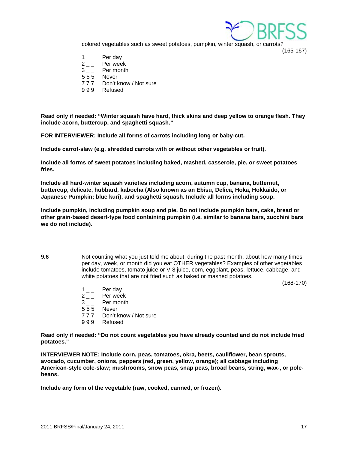

(165-167)

colored vegetables such as sweet potatoes, pumpkin, winter squash, or carrots?

- 
- $\begin{array}{cc} 1 & \\ 2 & \end{array}$  Per wee  $2 \quad - \quad$  Per week<br> $3 \quad - \quad$  Per month
- Per month
- 555 Never<br>777 Don't k
- Don't know / Not sure
- 999 Refused

**Read only if needed: "Winter squash have hard, thick skins and deep yellow to orange flesh. They include acorn, buttercup, and spaghetti squash."**

**FOR INTERVIEWER: Include all forms of carrots including long or baby-cut.**

**Include carrot-slaw (e.g. shredded carrots with or without other vegetables or fruit).**

**Include all forms of sweet potatoes including baked, mashed, casserole, pie, or sweet potatoes fries.** 

**Include all hard-winter squash varieties including acorn, autumn cup, banana, butternut, buttercup, delicate, hubbard, kabocha (Also known as an Ebisu, Delica, Hoka, Hokkaido, or Japanese Pumpkin; blue kuri), and spaghetti squash. Include all forms including soup.**

**Include pumpkin, including pumpkin soup and pie. Do not include pumpkin bars, cake, bread or other grain-based desert-type food containing pumpkin (i.e. similar to banana bars, zucchini bars we do not include).**

**9.6** Not counting what you just told me about, during the past month, about how many times per day, week, or month did you eat OTHER vegetables? Examples of other vegetables include tomatoes, tomato juice or V-8 juice, corn, eggplant, peas, lettuce, cabbage, and white potatoes that are not fried such as baked or mashed potatoes.

(168-170)

- $\begin{array}{cc} 1 & \\ 2 & \end{array}$  Per day
- $\begin{array}{cc} 2 & \\ 3 & \end{array}$  Per month
- Per month
- 555 Never<br>777 Don't k
- Don't know / Not sure
- 999 Refused

**Read only if needed: "Do not count vegetables you have already counted and do not include fried potatoes."**

**INTERVIEWER NOTE: Include corn, peas, tomatoes, okra, beets, cauliflower, bean sprouts, avocado, cucumber, onions, peppers (red, green, yellow, orange); all cabbage including American-style cole-slaw; mushrooms, snow peas, snap peas, broad beans, string, wax-, or polebeans.**

**Include any form of the vegetable (raw, cooked, canned, or frozen).**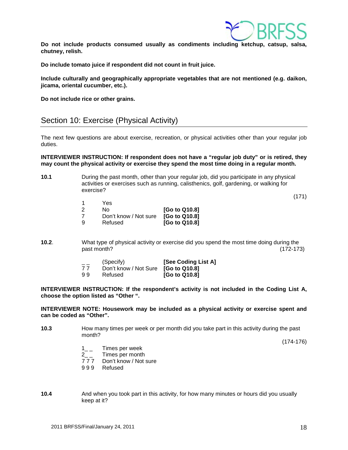

**Do not include products consumed usually as condiments including ketchup, catsup, salsa, chutney, relish.** 

**Do include tomato juice if respondent did not count in fruit juice.**

**Include culturally and geographically appropriate vegetables that are not mentioned (e.g. daikon, jicama, oriental cucumber, etc.).**

**Do not include rice or other grains.**

# <span id="page-17-0"></span>Section 10: Exercise (Physical Activity)

The next few questions are about exercise, recreation, or physical activities other than your regular job duties.

**INTERVIEWER INSTRUCTION: If respondent does not have a "regular job duty" or is retired, they may count the physical activity or exercise they spend the most time doing in a regular month.**

**10.1** During the past month, other than your regular job, did you participate in any physical activities or exercises such as running, calisthenics, golf, gardening, or walking for exercise?

(171)

|    | Yes                   |               |
|----|-----------------------|---------------|
| -2 | No.                   | [Go to Q10.8] |
|    | Don't know / Not sure | [Go to Q10.8] |
| -9 | Refused               | [Go to Q10.8] |

**10.2**. What type of physical activity or exercise did you spend the most time doing during the past month? (172-173)

| $=$ $-$ | (Specify)                           | [See Coding List A]  |
|---------|-------------------------------------|----------------------|
| 77      | Don't know / Not Sure [Go to Q10.8] |                      |
| 99      | Refused                             | <b>[Go to Q10.8]</b> |

**INTERVIEWER INSTRUCTION: If the respondent's activity is not included in the Coding List A, choose the option listed as "Other ".**

**INTERVIEWER NOTE: Housework may be included as a physical activity or exercise spent and can be coded as "Other".** 

**10.3** How many times per week or per month did you take part in this activity during the past month?

(174-176)

- 1<sub>\_\_</sub> Times per week
- 2<sub>\_\_</sub> Times per month<br>777 Don't know / Not
- Don't know / Not sure
- 9 9 9 Refused
- **10.4** And when you took part in this activity, for how many minutes or hours did you usually keep at it?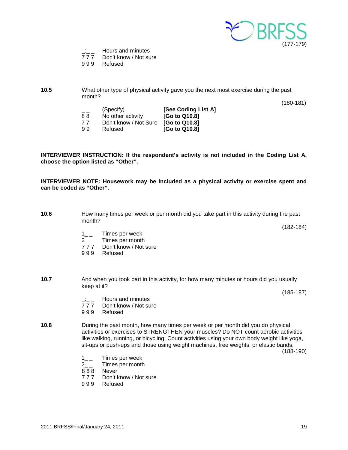

 $\frac{1}{77}$  Hours and minutes<br>777 Don't know / Not su

Don't know / Not sure

9 9 9 Refused

#### **10.5** What other type of physical activity gave you the next most exercise during the past month?

(180-181)

| $= -$<br>88 | (Specify)<br>No other activity      | [See Coding List A]<br>[Go to Q10.8] | $\cdot$ . |
|-------------|-------------------------------------|--------------------------------------|-----------|
| 77          | Don't know / Not Sure [Go to Q10.8] |                                      |           |
| 99          | Refused                             | [Go to Q10.8]                        |           |

**INTERVIEWER INSTRUCTION: If the respondent's activity is not included in the Coding List A, choose the option listed as "Other".**

**INTERVIEWER NOTE: Housework may be included as a physical activity or exercise spent and can be coded as "Other".** 

| 10.6                                                                                                                                                                                                                                                                                                                                                                  | How many times per week or per month did you take part in this activity during the past<br>month?     |             |  |  |
|-----------------------------------------------------------------------------------------------------------------------------------------------------------------------------------------------------------------------------------------------------------------------------------------------------------------------------------------------------------------------|-------------------------------------------------------------------------------------------------------|-------------|--|--|
|                                                                                                                                                                                                                                                                                                                                                                       | Times per week<br>$1 \quad$<br>Times per month<br>$2^{2}$                                             | $(182-184)$ |  |  |
|                                                                                                                                                                                                                                                                                                                                                                       | 777<br>Don't know / Not sure<br>999<br>Refused                                                        |             |  |  |
| 10.7                                                                                                                                                                                                                                                                                                                                                                  | And when you took part in this activity, for how many minutes or hours did you usually<br>keep at it? |             |  |  |
|                                                                                                                                                                                                                                                                                                                                                                       |                                                                                                       | $(185-187)$ |  |  |
|                                                                                                                                                                                                                                                                                                                                                                       | Hours and minutes<br>777<br>Don't know / Not sure                                                     |             |  |  |
|                                                                                                                                                                                                                                                                                                                                                                       | 999<br>Refused                                                                                        |             |  |  |
| 10.8<br>During the past month, how many times per week or per month did you do physical<br>activities or exercises to STRENGTHEN your muscles? Do NOT count aerobic activities<br>like walking, running, or bicycling. Count activities using your own body weight like yoga,<br>sit-ups or push-ups and those using weight machines, free weights, or elastic bands. |                                                                                                       | $(188-190)$ |  |  |
|                                                                                                                                                                                                                                                                                                                                                                       |                                                                                                       |             |  |  |

- $1_{--}$  Times per week<br>2 Times per month
- Times per month
- 8 8 8 Never
- 7 7 7 Don't know / Not sure
- 9 9 9 Refused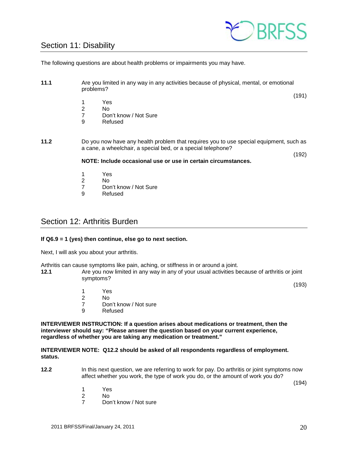# <span id="page-19-0"></span>Section 11: Disability



The following questions are about health problems or impairments you may have.

- **11.1** Are you limited in any way in any activities because of physical, mental, or emotional problems?
	- 1 Yes
	-
	- 2 No 7 Don't know / Not Sure<br>9 Refused
	- **Refused**
- **11.2** Do you now have any health problem that requires you to use special equipment, such as a cane, a wheelchair, a special bed, or a special telephone?

(192)

(191)

#### **NOTE: Include occasional use or use in certain circumstances.**

- 1 Yes
- 2 No
- 7 Don't know / Not Sure<br>9 Refused
- **Refused**

# <span id="page-19-1"></span>Section 12: Arthritis Burden

#### **If Q6.9 = 1 (yes) then continue, else go to next section.**

Next, I will ask you about your arthritis.

Arthritis can cause symptoms like pain, aching, or stiffness in or around a joint.<br>**12.1** Are you now limited in any way in any of your usual activities by

**12.1** Are you now limited in any way in any of your usual activities because of arthritis or joint symptoms?

(193)

- 1 Yes<br>2 No
- No.
- 7 Don't know / Not sure<br>9 Refused
- **Refused**

**INTERVIEWER INSTRUCTION: If a question arises about medications or treatment, then the interviewer should say: "Please answer the question based on your current experience, regardless of whether you are taking any medication or treatment."**

#### **INTERVIEWER NOTE: Q12.2 should be asked of all respondents regardless of employment. status.**

**12.2** In this next question, we are referring to work for pay. Do arthritis or joint symptoms now affect whether you work, the type of work you do, or the amount of work you do?

(194)

- 1 Yes
- 2 No
- 7 Don't know / Not sure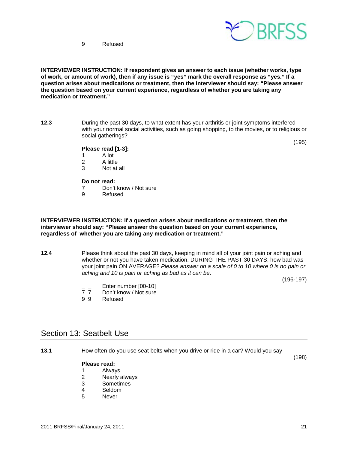



**INTERVIEWER INSTRUCTION: If respondent gives an answer to each issue (whether works, type of work, or amount of work), then if any issue is "yes" mark the overall response as "yes." If a question arises about medications or treatment, then the interviewer should say: "Please answer the question based on your current experience, regardless of whether you are taking any medication or treatment."**

**12.3** During the past 30 days, to what extent has your arthritis or joint symptoms interfered with your normal social activities, such as going shopping, to the movies, or to religious or social gatherings?

(195)

### **Please read [1-3]:**

- 1 A lot<br>2 A little
- 2 A little<br>3 Not at
- Not at all

#### **Do not read:**

- 7 Don't know / Not sure
- 9 Refused

**INTERVIEWER INSTRUCTION: If a question arises about medications or treatment, then the interviewer should say: "Please answer the question based on your current experience, regardless of whether you are taking any medication or treatment."**

**12.4** Please think about the past 30 days, keeping in mind all of your joint pain or aching and whether or not you have taken medication. DURING THE PAST 30 DAYS, how bad was your joint pain ON AVERAGE? *Please answer on a scale of 0 to 10 where 0 is no pain or aching and 10 is pain or aching as bad as it can be*.

(196-197)

- $\frac{1}{7}$   $\frac{1}{7}$  Enter number [00-10]
- 7 7 Don't know / Not sure<br>9 9 Refused
- **Refused**

# <span id="page-20-0"></span>Section 13: Seatbelt Use

**13.1** How often do you use seat belts when you drive or ride in a car? Would you say—

#### **Please read:**

- 1 Always<br>2 Nearly
- 2 Nearly always<br>3 Sometimes
- **Sometimes**
- 4 Seldom<br>5 Never
- **Never**

(198)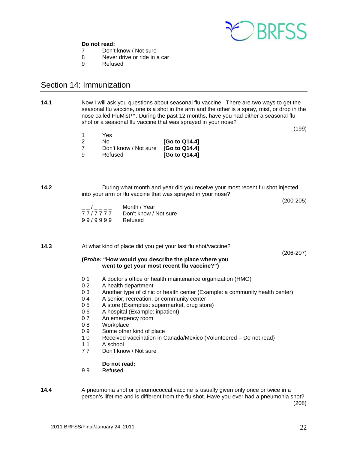

#### **Do not read:**

- 7 Don't know / Not sure
- 8 Never drive or ride in a car<br>9 Refused
- **Refused**

# <span id="page-21-0"></span>Section 14: Immunization

**14.1** Now I will ask you questions about seasonal flu vaccine. There are two ways to get the seasonal flu vaccine, one is a shot in the arm and the other is a spray, mist, or drop in the nose called FluMist™. During the past 12 months, have you had either a seasonal flu shot or a seasonal flu vaccine that was sprayed in your nose?

(199)

- 1 Yes 2 No **[Go to Q14.4]**
- 7 Don't know / Not sure **[Go to Q14.4] [Go to Q14.4]**

**14.2** During what month and year did you receive your most recent flu shot injected into your arm or flu vaccine that was sprayed in your nose?

(200-205)

 $\frac{1}{77}/\frac{1}{77}/\frac{1}{77}$  Month / Year Don't know / Not sure<br>Refused 99/9999

**14.3** At what kind of place did you get your last flu shot/vaccine?

(206-207)

#### **(***Probe:* **"How would you describe the place where you went to get your most recent flu vaccine?")**

- 0 1 A doctor's office or health maintenance organization (HMO)
- 0 2 A health department
- 0 3 Another type of clinic or health center (Example: a community health center)
- 0.4 A senior, recreation, or community center
- 0 5 A store (Examples: supermarket, drug store)<br>0 6 A hospital (Example: inpatient)
- 0 6 A hospital (Example: inpatient)<br>0 7 An emergency room
- 0 7 An emergency room<br>0 8 Workplace
- Workplace
- 0 9 Some other kind of place<br>1 0 Received vaccination in C
- Received vaccination in Canada/Mexico (Volunteered Do not read)
- 11 A school<br>77 Don't kno
- Don't know / Not sure

#### **Do not read:**

9 9 Refused

**14.4** A pneumonia shot or pneumococcal vaccine is usually given only once or twice in a person's lifetime and is different from the flu shot. Have you ever had a pneumonia shot? (208)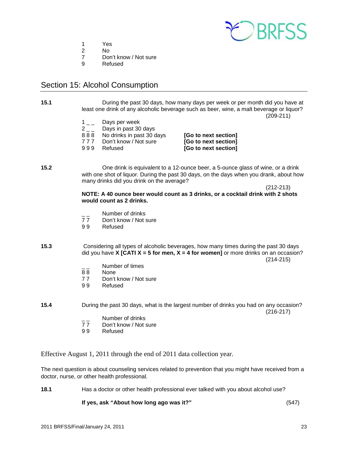

- 1 Yes<br>2 No
- 2 No
- 7 Don't know / Not sure<br>9 Refused
- **Refused**

# <span id="page-22-0"></span>Section 15: Alcohol Consumption

**15.1** During the past 30 days, how many days per week or per month did you have at least one drink of any alcoholic beverage such as beer, wine, a malt beverage or liquor? (209-211)

- $\begin{bmatrix} 1 & 2 \\ 2 & 1 \end{bmatrix}$  Days in past 30
- Days in past 30 days
- 
- 
- 

8 8 8 No drinks in past 30 days **[Go to next section]** [Go to next section] 9 9 9 Refused **[Go to next section]**

**15.2** One drink is equivalent to a 12-ounce beer, a 5-ounce glass of wine, or a drink with one shot of liquor. During the past 30 days, on the days when you drank, about how many drinks did you drink on the average?

> (212-213) **NOTE: A 40 ounce beer would count as 3 drinks, or a cocktail drink with 2 shots would count as 2 drinks.**

- <sup>-</sup>/<sub>2</sub> -// Number of drinks<br>T 7 Don't know / Not s
- Don't know / Not sure
- 9 9 Refused
- **15.3** Considering all types of alcoholic beverages, how many times during the past 30 days did you have **X [CATI X = 5 for men, X = 4 for women]** or more drinks on an occasion? (214-215)
	- $\frac{1}{88}$  Number of times
	- 88 None<br>77 Don't
	- Don't know / Not sure
	- 9 9 Refused

**15.4** During the past 30 days, what is the largest number of drinks you had on any occasion? (216-217)

- Number of drinks<br>77 Don't know / Not s
- Don't know / Not sure
- 9 9 Refused

Effective August 1, 2011 through the end of 2011 data collection year.

The next question is about counseling services related to prevention that you might have received from a doctor, nurse, or other health professional.

**18.1** Has a doctor or other health professional ever talked with you about alcohol use?

**If yes, ask "About how long ago was it?"** (547)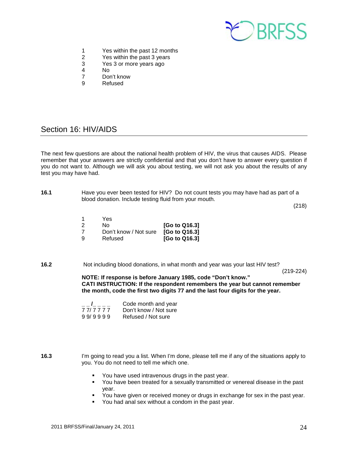

- 1 Yes within the past 12 months
- 2 Yes within the past 3 years<br>3 Yes 3 or more vears ago
- 3 Yes 3 or more years ago
- No.
- 7 Don't know<br>9 Refused
	- **Refused**

# <span id="page-23-0"></span>Section 16: HIV/AIDS

The next few questions are about the national health problem of HIV, the virus that causes AIDS. Please remember that your answers are strictly confidential and that you don't have to answer every question if you do not want to. Although we will ask you about testing, we will not ask you about the results of any test you may have had.

**16.1** Have you ever been tested for HIV? Do not count tests you may have had as part of a blood donation. Include testing fluid from your mouth.

(218)

- 1 Yes 2 No **[Go to Q16.3]** 7 Don't know / Not sure **[Go to Q16.3]** 9 Refused **[Go to Q16.3]**
- **16.2** Not including blood donations, in what month and year was your last HIV test?

(219-224)

**NOTE: If response is before January 1985, code "Don't know." CATI INSTRUCTION: If the respondent remembers the year but cannot remember the month, code the first two digits 77 and the last four digits for the year.** 

| $\mathbf{I}$ | Code month and year   |
|--------------|-----------------------|
| 77/7777      | Don't know / Not sure |
| 99/9999      | Refused / Not sure    |

**16.3** I'm going to read you a list. When I'm done, please tell me if any of the situations apply to you. You do not need to tell me which one.

- You have used intravenous drugs in the past year.
- You have been treated for a sexually transmitted or venereal disease in the past year.
- You have given or received money or drugs in exchange for sex in the past year.
- You had anal sex without a condom in the past year.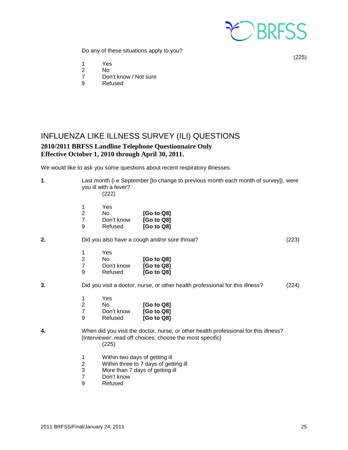

(225)

Do any of these situations apply to you?

1 Yes<br>2 No

- 2 No
- 7 Don't know / Not sure<br>9 Refused
- **Refused**

# <span id="page-24-0"></span>INFLUENZA LIKE ILLNESS SURVEY (ILI) QUESTIONS **2010/2011 BRFSS Landline Telephone Questionnaire Only Effective October 1, 2010 through April 30, 2011.**

We would like to ask you some questions about recent respiratory illnesses.

| 1. |                                                     | Last month (i.e September [to change to previous month each month of survey]), were<br>you ill with a fever?<br>(222) |                                                                                                                                                   |       |
|----|-----------------------------------------------------|-----------------------------------------------------------------------------------------------------------------------|---------------------------------------------------------------------------------------------------------------------------------------------------|-------|
|    | 1<br>$\overline{\mathbf{c}}$<br>$\overline{7}$<br>9 | Yes<br>No<br>Don't know<br>Refused                                                                                    | [Go to Q8]<br>[Go to Q8]<br>[Go to Q8]                                                                                                            |       |
| 2. |                                                     |                                                                                                                       | Did you also have a cough and/or sore throat?                                                                                                     | (223) |
|    | 1<br>$\overline{2}$<br>$\overline{7}$<br>9          | Yes<br>No.<br>Don't know<br>Refused                                                                                   | [Go to Q8]<br>[Go to Q8]<br>[Go to Q8]                                                                                                            |       |
| 3. |                                                     |                                                                                                                       | Did you visit a doctor, nurse, or other health professional for this illness?                                                                     | (224) |
|    | 1<br>$\overline{2}$<br>$\overline{7}$<br>9          | Yes<br>No<br>Don't know<br>Refused                                                                                    | [Go to Q8]<br>[Go to Q8]<br>[Go to Q8]                                                                                                            |       |
| 4. |                                                     | (225)                                                                                                                 | When did you visit the doctor, nurse, or other health professional for this illness?<br>[Interviewer: read off choices; choose the most specific] |       |
|    | 1<br>$\overline{\mathbf{c}}$<br>3                   | Within two days of getting ill<br>More than 7 days of getting ill                                                     | Within three to 7 days of getting ill                                                                                                             |       |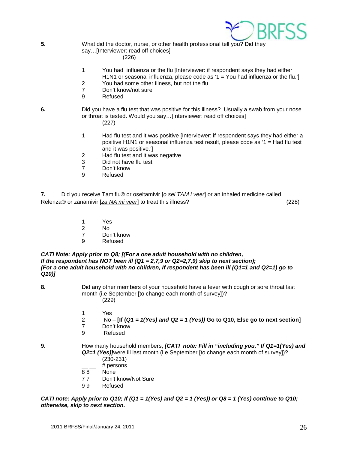

**5.** What did the doctor, nurse, or other health professional tell you? Did they say…[Interviewer: read off choices] (226)

- 1 You had influenza or the flu [Interviewer: if respondent says they had either H1N1 or seasonal influenza, please code as ' $1 =$  You had influenza or the flu.'
- 2 You had some other illness, but not the flu
- 7 Don't know/not sure
- 9 Refused
- **6.** Did you have a flu test that was positive for this illness? Usually a swab from your nose or throat is tested. Would you say…[Interviewer: read off choices] (227)
	- 1 Had flu test and it was positive [Interviewer: if respondent says they had either a positive H1N1 or seasonal influenza test result, please code as '1 = Had flu test and it was positive.']
	- 2 Had flu test and it was negative<br>3 Did not have flu test
	- 3 Did not have flu test<br>7 Don't know
	- 7 Don't know<br>9 Refused
	- **Refused**

**7.** Did you receive Tamiflu® or oseltamivir [*o sel TAM i veer*] or an inhaled medicine called Relenza® or zanamivir [*[za NA mi veer](javascript:playsound()*] to treat this illness? (228)

- 1 Yes<br>2 No
- $N<sub>0</sub>$
- 7 Don't know
- 9 Refused

*CATI Note: Apply prior to Q8; [(For a one adult household with no children, If the respondent has NOT been ill (Q1 = 2,7,9 or Q2=2,7,9) skip to next section); (For a one adult household with no children, If respondent has been ill (Q1=1 and Q2=1) go to Q10)]* 

- **8.** Did any other members of your household have a fever with cough or sore throat last month (i.e September [to change each month of survey])? (229)
	- 1 Yes
	- 2 No **[If (***Q1 = 1(Yes) and Q2 = 1 (Yes))* **Go to Q10, Else go to next section]**
	- Don't know
	- 9 Refused

**9.** How many household members, *[CATI note: Fill in "including you," If Q1=1(Yes) and Q2=1 (Yes)]*were ill last month (i.e September [to change each month of survey])?

- (230-231)  $#$  persons
- 
- 8 8 None
- 7 7 Don't know/Not Sure
- 9 9 Refused

*CATI note: Apply prior to Q10; If (Q1 = 1(Yes) and Q2 = 1 (Yes)) or Q8 = 1 (Yes) continue to Q10; otherwise, skip to next section.*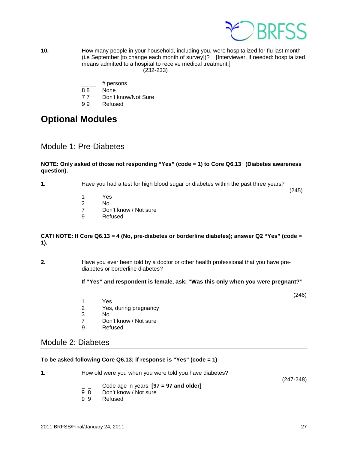

**10.** How many people in your household, including you, were hospitalized for flu last month (i.e September [to change each month of survey])? [Interviewer, if needed: hospitalized means admitted to a hospital to receive medical treatment.] (232-233)

- # persons
- 8 8 None
- 7 7 Don't know/Not Sure
- 9 9 Refused

# <span id="page-26-0"></span>**Optional Modules**

### <span id="page-26-1"></span>Module 1: Pre-Diabetes

#### **NOTE: Only asked of those not responding "Yes" (code = 1) to Core Q6.13 (Diabetes awareness question).**

**1.** Have you had a test for high blood sugar or diabetes within the past three years?

(245)

- 1 Yes<br>2 No
- 2 No<br>7 Dor
- 7 Don't know / Not sure<br>9 Refused
- **Refused**

#### **CATI NOTE: If Core Q6.13 = 4 (No, pre-diabetes or borderline diabetes); answer Q2 "Yes" (code = 1).**

**2.** Have you ever been told by a doctor or other health professional that you have prediabetes or borderline diabetes?

#### **If "Yes" and respondent is female, ask: "Was this only when you were pregnant?"**

(246)

- 1 Yes<br>2 Yes.
- 2 Yes, during pregnancy<br>3 No
- 3 No
- 7 Don't know / Not sure<br>9 Refused
- **Refused**

### <span id="page-26-2"></span>Module 2: Diabetes

#### **To be asked following Core Q6.13; if response is "Yes" (code = 1)**

- **1.** How old were you when you were told you have diabetes? (247-248)
	- \_ \_ Code age in years **[97 = 97 and older]**
	- Don't know / Not sure
	- 9 9 Refused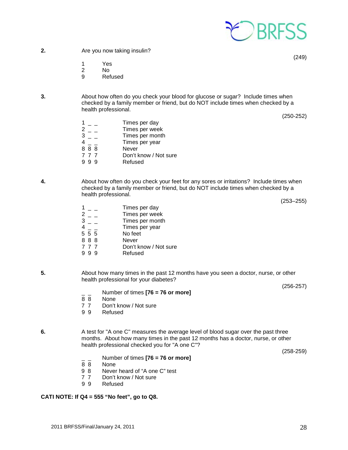- **2.** Are you now taking insulin?
	- 1 Yes
	- 2 No
	- 9 Refused
- **3.** About how often do you check your blood for glucose or sugar? Include times when checked by a family member or friend, but do NOT include times when checked by a health professional.

(250-252)

- $\begin{array}{ccc} 1 & = & \text{ 1} & \text{ 2} & \text{ 2} & \text{ 3} \\ 2 & = & \text{ 1} & \text{ 4} & \text{ 5} \\ \end{array}$
- 
- $2 -$  Times per week<br> $3 -$  Times per month 3 \_ \_ Times per month<br>4 Times per year
- Times per year
- 8 8 8 Never
- 7 7 7 Don't know / Not sure<br>9 9 9 Refused
- Refused
- **4.** About how often do you check your feet for any sores or irritations? Include times when checked by a family member or friend, but do NOT include times when checked by a health professional.

(253–255)

- $\begin{array}{ccc} 1 & = & \text{ 1} & \text{ 2} & \text{ 2} & \text{ 3} \\ 2 & = & \text{ 1} & \text{ 4} & \text{ 5} \\ \end{array}$  $2 -$ <br>  $3 -$ <br>  $7 \text{ times per week}$ <br>  $7 \text{ times per month}$ Times per month  $4 - 7$  Times per year<br>5 5 5 No feet No feet<br>Never 8 8 8<br>7 7 7 7 7 7 Don't know / Not sure<br>9 9 9 Refused **Refused**
- **5.** About how many times in the past 12 months have you seen a doctor, nurse, or other health professional for your diabetes?

(256-257)

 $\frac{1}{8}$  Number of times **[76 = 76 or more]** 

\_ \_ Number of times **[76 = 76 or more]**

9 8 Never heard of "A one C" test<br>7 7 Don't know / Not sure Don't know / Not sure

- 8 8 None<br>7 7 Don't
- 7 7 Don't know / Not sure<br>9 9 Refused
- **Refused**

None

9 9 Refused

**CATI NOTE: If Q4 = 555 "No feet", go to Q8.**

**6.** A test for "A one C" measures the average level of blood sugar over the past three months. About how many times in the past 12 months has a doctor, nurse, or other health professional checked you for "A one C"?

(258-259)

(249)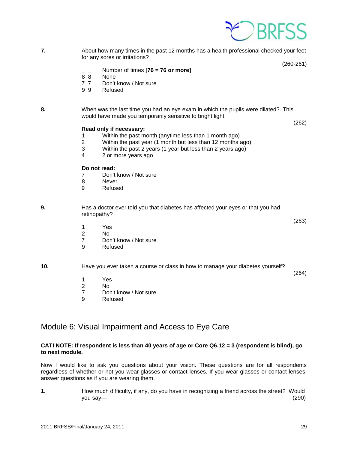

**7.** About how many times in the past 12 months has a health professional checked your feet for any sores or irritations?

(260-261)

(263)

(264)

- $\frac{1}{8}$   $\frac{1}{8}$  Number of times **[76 = 76 or more]**
- 8 8 None<br>7 7 Don't
- Don't know / Not sure
- 9 9 Refused
- **8.** When was the last time you had an eye exam in which the pupils were dilated? This would have made you temporarily sensitive to bright light. (262)

#### **Read only if necessary:**

- 1 Within the past month (anytime less than 1 month ago)
- Within the past year (1 month but less than 12 months ago)
- 3 Within the past 2 years (1 year but less than 2 years ago)
- 4 2 or more years ago

#### **Do not read:**

- 7 Don't know / Not sure<br>8 Never
- **Never**
- 9 Refused
- **9.** Has a doctor ever told you that diabetes has affected your eyes or that you had retinopathy?
	- 1 Yes
	- 2 No
	- 7 Don't know / Not sure<br>9 Refused
	- **Refused**

**10.** Have you ever taken a course or class in how to manage your diabetes yourself?

- 1 Yes
- 2 No<br>7 Dor
- 7 Don't know / Not sure<br>9 Refused
- **Refused**

# <span id="page-28-0"></span>Module 6: Visual Impairment and Access to Eye Care

#### **CATI NOTE: If respondent is less than 40 years of age or Core Q6.12 = 3 (respondent is blind), go to next module.**

Now I would like to ask you questions about your vision. These questions are for all respondents regardless of whether or not you wear glasses or contact lenses. If you wear glasses or contact lenses, answer questions as if you are wearing them.

**1.** How much difficulty, if any, do you have in recognizing a friend across the street? Would you say— (290)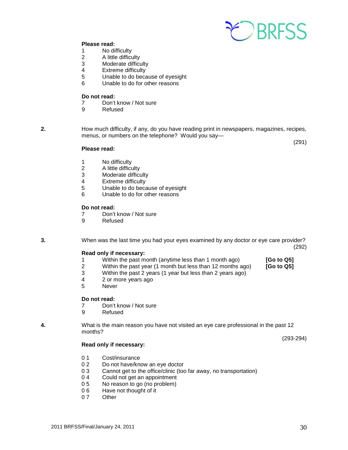

#### **Please read:**

- 1 No difficulty
- 2 A little difficulty<br>3 Moderate difficu
- 3 Moderate difficulty<br>4 Extreme difficulty
- Extreme difficulty
- 5 Unable to do because of eyesight<br>6 Unable to do for other reasons
- Unable to do for other reasons

#### **Do not read:**

- 7 Don't know / Not sure
- 9 Refused

**2.** How much difficulty, if any, do you have reading print in newspapers, magazines, recipes, menus, or numbers on the telephone? Would you say—

### **Please read:**

(291)

- 
- 1 No difficulty<br>2 A little difficu 2 A little difficulty<br>3 Moderate difficu
- 3 Moderate difficulty<br>4 Extreme difficulty
- 4 Extreme difficulty<br>5 Unable to do beca
- Unable to do because of eyesight
- 6 Unable to do for other reasons

#### **Do not read:**

- 7 Don't know / Not sure<br>9 Refused
- **Refused**
- 

**3.** When was the last time you had your eyes examined by any doctor or eye care provider? (292)

#### **Read only if necessary:**

- 1 Within the past month (anytime less than 1 month ago) **[Go to Q5]**
- 2 Within the past year (1 month but less than 12 months ago) **[Go to Q5]**
	- Within the past 2 years (1 year but less than 2 years ago)
- 4 2 or more years ago
- 5 Never

#### **Do not read:**

- 7 Don't know / Not sure<br>9 Refused
- **Refused**

**4.** What is the main reason you have not visited an eye care professional in the past 12 months?

#### **Read only if necessary:**

- 0 1 Cost/insurance
- 0 2 Do not have/know an eye doctor<br>0 3 Cannot get to the office/clinic (to
- 0 3 Cannot get to the office/clinic (too far away, no transportation)<br>0 4 Could not get an appointment
- Could not get an appointment
- 0 5 No reason to go (no problem)<br>0 6 Have not thought of it
- Have not thought of it
- 0 7 Other

(293-294)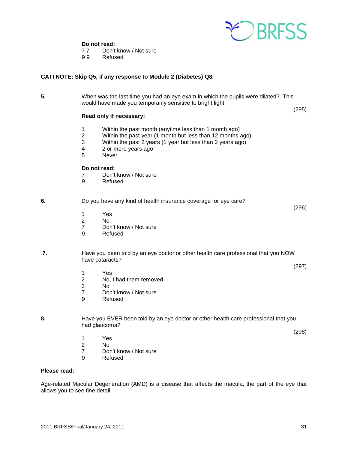

# **Do not read:**<br>77 Don't

Don't know / Not sure

9 9 Refused

#### **CATI NOTE: Skip Q5, if any response to Module 2 (Diabetes) Q8.**

**5.** When was the last time you had an eye exam in which the pupils were dilated? This would have made you temporarily sensitive to bright light.

#### **Read only if necessary:**

- 1 Within the past month (anytime less than 1 month ago)
- 2 Within the past year (1 month but less than 12 months ago)<br>3 Within the past 2 years (1 year but less than 2 years ago)
- Within the past 2 years (1 year but less than 2 years ago)
- 4 2 or more years ago
- 5 Never

#### **Do not read:**

- 7 Don't know / Not sure<br>9 Refused
- **Refused**

#### **6.** Do you have any kind of health insurance coverage for eye care?

- 1 Yes
- $N<sub>0</sub>$
- 7 Don't know / Not sure
- 9 Refused

#### **7.** Have you been told by an eye doctor or other health care professional that you NOW have cataracts?

- 1 Yes 2 No, I had them removed<br>3 No
- 3 No
- 7 Don't know / Not sure<br>9 Refused
- **Refused**
- **8.** Have you EVER been told by an eye doctor or other health care professional that you had glaucoma?

(298)

(295)

(296)

(297)

- 1 Yes<br>2 No
- 2 No<br>7 Dor
- 7 Don't know / Not sure<br>9 Refused
- **Refused**

#### **Please read:**

Age-related Macular Degeneration (AMD) is a disease that affects the macula, the part of the eye that allows you to see fine detail.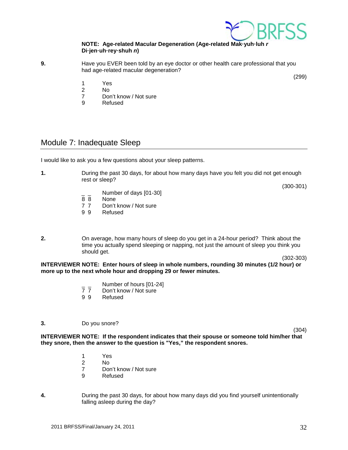

#### **NOTE: Age-related Macular Degeneration (Age-related Mak·yuh·luh** *r*  **Di·jen·uh·rey·shuh** *n***)**

- **9.** Have you EVER been told by an eye doctor or other health care professional that you had age-related macular degeneration?
	- 1 Yes
	- 2 No
	- 7 Don't know / Not sure<br>9 Refused
	- **Refused**

# <span id="page-31-0"></span>Module 7: Inadequate Sleep

I would like to ask you a few questions about your sleep patterns.

**1.** During the past 30 days, for about how many days have you felt you did not get enough rest or sleep?

(300-301)

(299)

- $\frac{1}{8}$  Number of days [01-30]
- None
- 7 7 Don't know / Not sure<br>9 9 Refused
- **Refused**
- **2.** On average, how many hours of sleep do you get in a 24-hour period? Think about the time you actually spend sleeping or napping, not just the amount of sleep you think you should get.

(302-303)

**INTERVIEWER NOTE: Enter hours of sleep in whole numbers, rounding 30 minutes (1/2 hour) or more up to the next whole hour and dropping 29 or fewer minutes.**

- $\frac{1}{7}$  Number of hours [01-24]<br>7 7 Don't know / Not sure
- 7 7 Don't know / Not sure<br>9 9 Refused
- **Refused**

#### **3.** Do you snore?

(304)

**INTERVIEWER NOTE: If the respondent indicates that their spouse or someone told him/her that they snore, then the answer to the question is "Yes," the respondent snores.**

- 1 Yes<br>2 No
- 2 No
- 7 Don't know / Not sure<br>9 Refused
- **Refused**
- **4.** During the past 30 days, for about how many days did you find yourself unintentionally falling asleep during the day?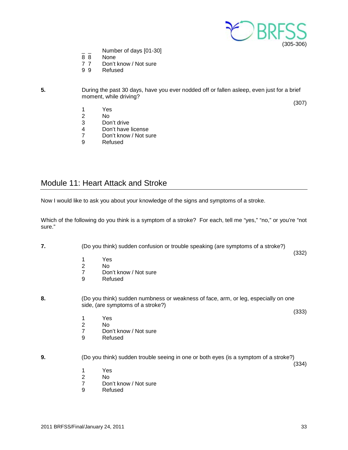

- $\frac{1}{8}$   $\frac{1}{8}$  Number of days [01-30]
- 8 8 None<br>7 7 Don't
- 7 7 Don't know / Not sure<br>9 9 Refused
- **Refused**
- **5.** During the past 30 days, have you ever nodded off or fallen asleep, even just for a brief moment, while driving? (307)
	- 1 Yes
	- 2 No
	- Don't drive
	- 4 Don't have license<br>7 Don't know / Not su
	- 7 Don't know / Not sure<br>9 Refused
	- **Refused**

# <span id="page-32-0"></span>Module 11: Heart Attack and Stroke

Now I would like to ask you about your knowledge of the signs and symptoms of a stroke.

Which of the following do you think is a symptom of a stroke? For each, tell me "yes," "no," or you're "not sure."

**7.** (Do you think) sudden confusion or trouble speaking (are symptoms of a stroke?) (332)

- 
- 1 Yes<br>2 No 2 No<br>7 Dor
- 7 Don't know / Not sure<br>9 Refused
- **Refused**
- **8.** (Do you think) sudden numbness or weakness of face, arm, or leg, especially on one side, (are symptoms of a stroke?)
	- (333)

(334)

- 1 Yes<br>2 No
- N<sub>o</sub>
- 7 Don't know / Not sure<br>9 Refused
- **Refused**

#### **9.** (Do you think) sudden trouble seeing in one or both eyes (is a symptom of a stroke?)

- 
- 1 Yes<br>2 No 2 No
- 7 Don't know / Not sure<br>9 Refused
- **Refused**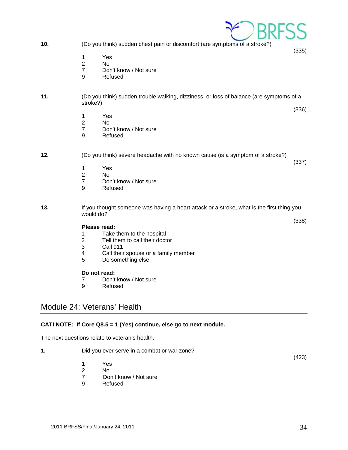- **10.** (Do you think) sudden chest pain or discomfort (are symptoms of a stroke?)
	- 1 Yes<br>2 No
	- N<sub>o</sub>
	- 7 Don't know / Not sure
	- 9 Refused

#### **11.** (Do you think) sudden trouble walking, dizziness, or loss of balance (are symptoms of a stroke?)

- 1 Yes<br>2 No
- $No$
- 7 Don't know / Not sure
- 9 Refused

#### **12.** (Do you think) severe headache with no known cause (is a symptom of a stroke?)

- 
- 1 Yes<br>2 No
- 2 No<br>7 Dor 7 Don't know / Not sure<br>9 Refused
- **Refused**
- **13.** If you thought someone was having a heart attack or a stroke, what is the first thing you would do?

# **Please read:**<br>1 Take

- 1 Take them to the hospital<br>2 Tell them to call their docter
- 2 Tell them to call their doctor<br>3 Call 911
- 3 Call 911<br>4 Call thei
- 4 Call their spouse or a family member<br>5 Do something else
- Do something else

#### **Do not read:**

- 7 Don't know / Not sure
- 9 Refused

# <span id="page-33-0"></span>Module 24: Veterans' Health

#### **CATI NOTE: If Core Q8.5 = 1 (Yes) continue, else go to next module.**

The next questions relate to veteran's health.

**1.** Did you ever serve in a combat or war zone? (423) 1 Yes  $\frac{2}{7}$  No 7 Don't know / Not sure<br>9 Refused **Refused** 



(337)

(335)

(336)

(338)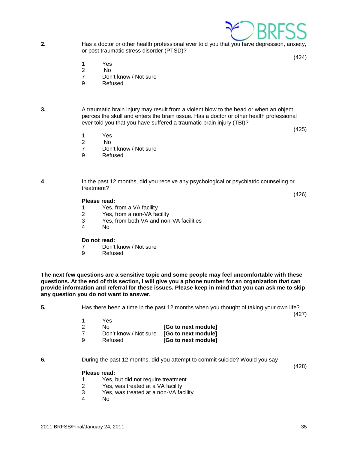

**2.** Has a doctor or other health professional ever told you that you have depression, anxiety, or post traumatic stress disorder (PTSD)?

(424)

- 1 Yes
- 2 No
- 7 Don't know / Not sure<br>9 Refused
- **Refused**
- 

**3.** A traumatic brain injury may result from a violent blow to the head or when an object pierces the skull and enters the brain tissue. Has a doctor or other health professional ever told you that you have suffered a traumatic brain injury (TBI)?

(425)

- 1 Yes<br>2 No
- N<sub>o</sub>
- 7 Don't know / Not sure
- 9 Refused

**4**. In the past 12 months, did you receive any psychological or psychiatric counseling or treatment? (426)

#### **Please read:**

- 1 Yes, from a VA facility<br>2 Yes, from a non-VA fac
- 2 Yes, from a non-VA facility<br>3 Yes, from both VA and non
- Yes, from both VA and non-VA facilities
- 4 No

#### **Do not read:**

- 7 Don't know / Not sure<br>9 Refused
- **Refused**

**The next few questions are a sensitive topic and some people may feel uncomfortable with these questions. At the end of this section, I will give you a phone number for an organization that can provide information and referral for these issues. Please keep in mind that you can ask me to skip any question you do not want to answer.**

**5.** Has there been a time in the past 12 months when you thought of taking your own life?

(427)

|     | Yes                   |                     |
|-----|-----------------------|---------------------|
| - 2 | N٥                    | [Go to next module] |
|     | Don't know / Not sure | [Go to next module] |
| - Q | Refused               | [Go to next module] |

**6.** During the past 12 months, did you attempt to commit suicide? Would you say---

(428)

#### **Please read:**

- 1 Yes, but did not require treatment<br>2 Yes, was treated at a VA facility
- 2 Yes, was treated at a VA facility<br>3 Yes, was treated at a non-VA fac
- Yes, was treated at a non-VA facility
- 4 No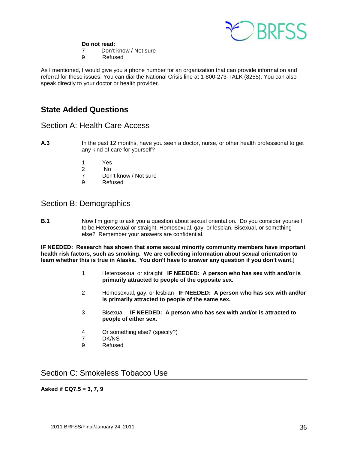

#### **Do not read:**

- 7 Don't know / Not sure
- 9 Refused

As I mentioned, I would give you a phone number for an organization that can provide information and referral for these issues. You can dial the National Crisis line at 1-800-273-TALK (8255). You can also speak directly to your doctor or health provider.

# **State Added Questions**

# <span id="page-35-0"></span>Section A: Health Care Access

- **A.3** In the past 12 months, have you seen a doctor, nurse, or other health professional to get any kind of care for yourself?
	- 1 Yes<br>2 No
	- 2 No
	- 7 Don't know / Not sure<br>9 Refused
	- **Refused**

# <span id="page-35-1"></span>Section B: Demographics

**B.1** Now I'm going to ask you a question about sexual orientation. Do you consider yourself to be Heterosexual or straight, Homosexual, gay, or lesbian, Bisexual, or something else? Remember your answers are confidential.

**IF NEEDED: Research has shown that some sexual minority community members have important health risk factors, such as smoking. We are collecting information about sexual orientation to learn whether this is true in Alaska. You don't have to answer any question if you don't want.]**

- 1 Heterosexual or straight **IF NEEDED: A person who has sex with and/or is primarily attracted to people of the opposite sex.**
- 2 Homosexual, gay, or lesbian **IF NEEDED: A person who has sex with and/or is primarily attracted to people of the same sex.**
- 3 Bisexual **IF NEEDED: A person who has sex with and/or is attracted to people of either sex.**
- 4 Or something else? (specify?)<br>7 DK/NS
- DK/NS
- 9 Refused

# <span id="page-35-2"></span>Section C: Smokeless Tobacco Use

#### **Asked if CQ7.5 = 3, 7, 9**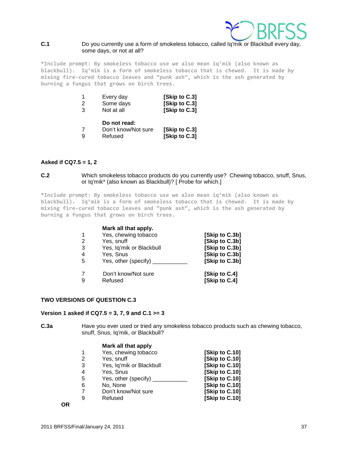

#### **C.1** Do you currently use a form of smokeless tobacco, called Iq'mik or Blackbull every day, some days, or not at all?

**\*Include prompt: By smokeless tobacco use we also mean iq'mik (also known as blackbull). Iq'mik is a form of smokeless tobacco that is chewed. It is made by mixing fire-cured tobacco leaves and "punk ash", which is the ash generated by burning a fungus that grows on birch trees.**

| $\mathcal{P}$<br>3 | Every day<br>Some days<br>Not at all           | [Skip to C.3]<br>[Skip to C.3]<br>[Skip to C.3] |
|--------------------|------------------------------------------------|-------------------------------------------------|
|                    | Do not read:<br>Don't know/Not sure<br>Refused | [Skip to C.3]<br>[Skip to C.3]                  |

#### **Asked if CQ7.5 = 1, 2**

**C.2** Which smokeless tobacco products do you currently use? Chewing tobacco, snuff, Snus, or Iq'mik\* (also known as Blackbull)? [ Probe for which.]

**\*Include prompt: By smokeless tobacco use we also mean iq'mik (also known as blackbull). Iq'mik is a form of smokeless tobacco that is chewed. It is made by mixing fire-cured tobacco leaves and "punk ash", which is the ash generated by burning a fungus that grows on birch trees.**

|                | Mark all that apply.     |                |
|----------------|--------------------------|----------------|
|                | Yes, chewing tobacco     | [Skip to C.3b] |
| 2              | Yes, snuff               | [Skip to C.3b] |
| 3              | Yes, Iq'mik or Blackbull | [Skip to C.3b] |
| $\overline{4}$ | Yes, Snus                | [Skip to C.3b] |
| -5             | Yes, other (specify)     | [Skip to C.3b] |
|                | Don't know/Not sure      | [Skip to C.4]  |
| 9              | Refused                  | [Skip to C.4]  |

#### **TWO VERSIONS OF QUESTION C.3**

#### **Version 1 asked if CQ7.5 = 3, 7, 9 and C.1 >= 3**

**C.3a** Have you ever used or tried any smokeless tobacco products such as chewing tobacco, snuff, Snus, Iq'mik, or Blackbull?

#### **Mark all that apply**

|                | Yes, chewing tobacco     | [Skip to C.10] |
|----------------|--------------------------|----------------|
| 2              | Yes, snuff               | [Skip to C.10] |
| 3              | Yes, Iq'mik or Blackbull | [Skip to C.10] |
| $\overline{4}$ | Yes, Snus                | [Skip to C.10] |
| -5             | Yes, other (specify)     | [Skip to C.10] |
| 6              | No, None                 | [Skip to C.10] |
| 7              | Don't know/Not sure      | [Skip to C.10] |
| 9              | Refused                  | [Skip to C.10] |
|                |                          |                |

**OR**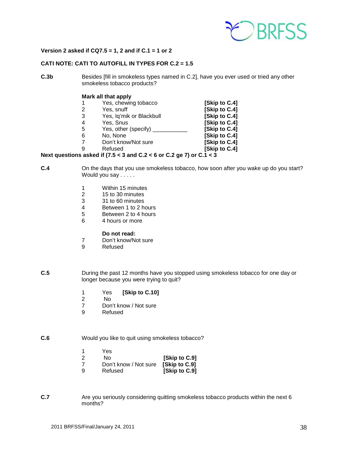

#### **Version 2 asked if CQ7.5 = 1, 2 and if C.1 = 1 or 2**

#### **CATI NOTE: CATI TO AUTOFILL IN TYPES FOR C.2 = 1.5**

**C.3b** Besides [fill in smokeless types named in C.2], have you ever used or tried any other smokeless tobacco products?

#### **Mark all that apply**

|   | Yes, chewing tobacco     | [Skip to C.4] |
|---|--------------------------|---------------|
| 2 | Yes, snuff               | [Skip to C.4] |
| 3 | Yes, Iq'mik or Blackbull | [Skip to C.4] |
| 4 | Yes, Snus                | [Skip to C.4] |
| 5 | Yes, other (specify)     | [Skip to C.4] |
| 6 | No, None                 | [Skip to C.4] |
|   | Don't know/Not sure      | [Skip to C.4] |
|   |                          |               |

9 Refused **[Skip to C.4]**

#### **Next questions asked if (7.5 < 3 and C.2 < 6 or C.2 ge 7) or C.1 < 3**

- **C.4** On the days that you use smokeless tobacco, how soon after you wake up do you start? Would you say . . . . .
	- 1 Within 15 minutes<br>2 15 to 30 minutes
	- 2 15 to 30 minutes<br>3 31 to 60 minutes
	- 3 31 to 60 minutes<br>4 Between 1 to 2 h
	- 4 Between 1 to 2 hours<br>5 Between 2 to 4 hours
	- 5 Between 2 to 4 hours
	- 6 4 hours or more

#### **Do not read:**

- 7 Don't know/Not sure<br>9 Refused
- **Refused**
- **C.5** During the past 12 months have you stopped using smokeless tobacco for one day or longer because you were trying to quit?
	- 1 Yes **[Skip to C.10]**
	- 2 No<br>7 Don
	- 7 Don't know / Not sure<br>9 Refused
	- **Refused**

#### **C.6** Would you like to quit using smokeless tobacco?

- 1 Yes<br>2 No
- **[Skip to C.9]**
- 7 Don't know / Not sure **[Skip to C.9] [Skip to C.9]**
- **C.7** Are you seriously considering quitting smokeless tobacco products within the next 6 months?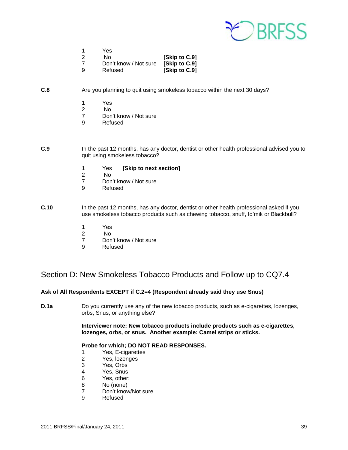

|    | Yes                   |               |
|----|-----------------------|---------------|
| -2 | N٥                    | [Skip to C.9] |
|    | Don't know / Not sure | [Skip to C.9] |
| ୍ର | Refused               | [Skip to C.9] |

#### **C.8** Are you planning to quit using smokeless tobacco within the next 30 days?

- 1 Yes<br>2 No
- 2 No
- 7 Don't know / Not sure<br>9 Refused
- **Refused**
- **C.9** In the past 12 months, has any doctor, dentist or other health professional advised you to quit using smokeless tobacco?
	- 1 Yes **[Skip to next section]**
	- 2 No<br>7 Don
	- 7 Don't know / Not sure<br>9 Refused
	- **Refused**
- **C.10** In the past 12 months, has any doctor, dentist or other health professional asked if you use smokeless tobacco products such as chewing tobacco, snuff, Iq'mik or Blackbull?
	- 1 Yes
	- 2 No<br>7 Don
	- 7 Don't know / Not sure<br>9 Refused
	- **Refused**

# <span id="page-38-0"></span>Section D: New Smokeless Tobacco Products and Follow up to CQ7.4

#### **Ask of All Respondents EXCEPT if C.2=4 (Respondent already said they use Snus)**

**D.1a** Do you currently use any of the new tobacco products, such as e-cigarettes, lozenges, orbs, Snus, or anything else?

> **Interviewer note: New tobacco products include products such as e-cigarettes, lozenges, orbs, or snus. Another example: Camel strips or sticks.**

#### **Probe for which; DO NOT READ RESPONSES.**

- 1 Yes, E-cigarettes<br>2 Yes, lozenges
- 2 Yes, lozenges<br>3 Yes, Orbs
- 3 Yes, Orbs
- 4 Yes, Snus<br>6 Yes, other:
- 6 Yes, other: \_\_\_<br>8 No (none)
- No (none)
- 7 Don't know/Not sure<br>9 Refused
- **Refused**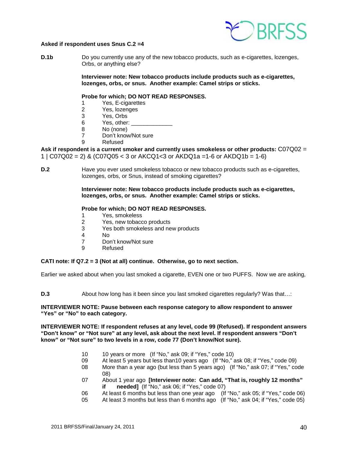

#### **Asked if respondent uses Snus C.2 =4**

**D.1b** Do you currently use any of the new tobacco products, such as e-cigarettes, lozenges, Orbs, or anything else?

> **Interviewer note: New tobacco products include products such as e-cigarettes, lozenges, orbs, or snus. Another example: Camel strips or sticks.**

#### **Probe for which; DO NOT READ RESPONSES.**

- 1 Yes, E-cigarettes
- 2 Yes, lozenges
- 3 Yes, Orbs<br>6 Yes other
- Yes, other:  $\blacksquare$
- 8 No (none)
- 7 Don't know/Not sure<br>9 Refused
	- **Refused**

**Ask if respondent is a current smoker and currently uses smokeless or other products:** C07Q02 = 1 |  $CO7Q02 = 2$ ) &  $(C07Q05 < 3$  or  $AKCQ1 < 3$  or  $AKDQ1a = 1-6$  or  $AKDQ1b = 1-6$ 

**D.2** Have you ever used smokeless tobacco or new tobacco products such as e-cigarettes, lozenges, orbs, or Snus, instead of smoking cigarettes?

> **Interviewer note: New tobacco products include products such as e-cigarettes, lozenges, orbs, or snus. Another example: Camel strips or sticks.**

#### **Probe for which; DO NOT READ RESPONSES.**

- 1 Yes, smokeless
- 2 Yes, new tobacco products
- 3 Yes both smokeless and new products<br>4 No
- $N<sub>0</sub>$
- 7 Don't know/Not sure
- 9 Refused

#### **CATI note: If Q7.2 = 3 (Not at all) continue. Otherwise, go to next section.**

Earlier we asked about when you last smoked a cigarette, EVEN one or two PUFFS. Now we are asking,

**D.3** About how long has it been since you last smoked cigarettes regularly? Was that...:

#### **INTERVIEWER NOTE: Pause between each response category to allow respondent to answer "Yes" or "No" to each category.**

**INTERVIEWER NOTE: If respondent refuses at any level, code 99 (Refused). If respondent answers "Don't know" or "Not sure" at any level, ask about the next level. If respondent answers "Don't know" or "Not sure" to two levels in a row, code 77 (Don't know/Not sure).**

- 10 10 years or more (If "No," ask 09; if "Yes," code 10)
- 09 At least 5 years but less than10 years ago (If "No," ask 08; if "Yes," code 09)
- 08 More than a year ago (but less than 5 years ago) (If "No," ask 07; if "Yes," code 08)
- 07 About 1 year ago **[Interviewer note: Can add, "That is, roughly 12 months" if needed]** (If "No," ask 06; if "Yes," code 07)
- 06 At least 6 months but less than one year ago (If "No," ask 05; if "Yes," code 06)
- 05 At least 3 months but less than 6 months ago (If "No," ask 04; if "Yes," code 05)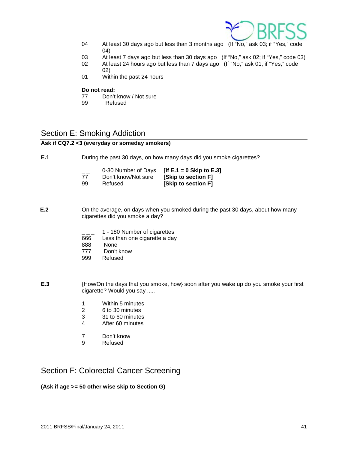

- 04 At least 30 days ago but less than 3 months ago (If "No," ask 03; if "Yes," code 04)
- 03 At least 7 days ago but less than 30 days ago (If "No," ask 02; if "Yes," code 03)<br>02 At least 24 hours ago but less than 7 days ago (If "No." ask 01: if "Yes." code
- At least 24 hours ago but less than 7 days ago (If "No," ask 01; if "Yes," code
	- 02)
- 01 Within the past 24 hours

# **Do not read:**<br>77 Don't

- 77 Don't know / Not sure<br>99 Refused
- Refused

# <span id="page-40-0"></span>Section E: Smoking Addiction

#### **Ask if CQ7.2 <3 (everyday or someday smokers)**

**E.1** During the past 30 days, on how many days did you smoke cigarettes?

| $ -$ | 0-30 Number of Days | [If $E.1 = 0$ Skip to $E.3$ ] |
|------|---------------------|-------------------------------|
| 77   | Don't know/Not sure | [Skip to section F]           |
| 99   | Refused             | [Skip to section F]           |

- **E.2** On the average, on days when you smoked during the past 30 days, about how many cigarettes did you smoke a day?
	- 1 180 Number of cigarettes
	- 666 Less than one cigarette a day<br>888 None
	- **None**
	- 777 Don't know
	- 999 Refused
- **E.3** {How/On the days that you smoke, how} soon after you wake up do you smoke your first cigarette? Would you say .....
	- 1 Within 5 minutes<br>2 6 to 30 minutes
	- 2 6 to 30 minutes
	- 3 31 to 60 minutes<br>4 After 60 minutes
	- After 60 minutes
	- 7 Don't know<br>9 Refused
	- **Refused**

# <span id="page-40-1"></span>Section F: Colorectal Cancer Screening

#### **(Ask if age >= 50 other wise skip to Section G)**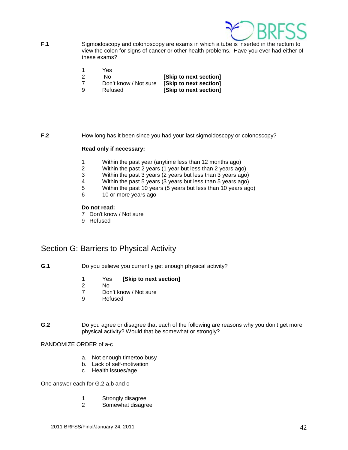

- **F.1** Sigmoidoscopy and colonoscopy are exams in which a tube is inserted in the rectum to view the colon for signs of cancer or other health problems. Have you ever had either of these exams?
	- 1 Yes
	-
	- 2 No **[Skip to next section]**
	-

**[Skip to next section]** 9 Refused **[Skip to next section]**

**F.2** How long has it been since you had your last sigmoidoscopy or colonoscopy?

#### **Read only if necessary:**

- 1 Within the past year (anytime less than 12 months ago)
- 2 Within the past 2 years (1 year but less than 2 years ago)<br>3 Within the past 3 years (2 years but less than 3 years ago
- Within the past 3 years (2 years but less than 3 years ago)
- 4 Within the past 5 years (3 years but less than 5 years ago)<br>5 Within the past 10 years (5 years but less than 10 years ago)
- 5 Within the past 10 years (5 years but less than 10 years ago)<br>6 10 or more years ago
- 10 or more years ago

#### **Do not read:**

- 7 Don't know / Not sure
- 9 Refused

# <span id="page-41-0"></span>Section G: Barriers to Physical Activity

- **G.1** Do you believe you currently get enough physical activity?
	- 1 Yes **[Skip to next section]**
	- 2 No<br>7 Dou
	- Don't know / Not sure
	- 9 Refused
- **G.2** Do you agree or disagree that each of the following are reasons why you don't get more physical activity? Would that be somewhat or strongly?

#### RANDOMIZE ORDER of a-c

- a. Not enough time/too busy
- b. Lack of self-motivation
- c. Health issues/age

One answer each for G.2 a,b and c

- 1 Strongly disagree
- 2 Somewhat disagree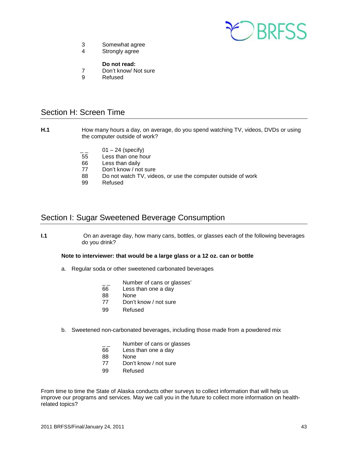

- 3 Somewhat agree<br>4 Strongly agree
- Strongly agree
	- **Do not read:**
- 7 Don't know/ Not sure<br>9 Refused
- 9 Refused

# <span id="page-42-0"></span>Section H: Screen Time

- **H.1** How many hours a day, on average, do you spend watching TV, videos, DVDs or using the computer outside of work?
	- $\frac{1}{2}$  01 24 (specify)<br>55 Less than one ho
	- 55 Less than one hour<br>66 Less than daily
	- Less than daily
	- 77 Don't know / not sure
	- 88 Do not watch TV, videos, or use the computer outside of work<br>99 Refused
	- Refused

# <span id="page-42-1"></span>Section I: Sugar Sweetened Beverage Consumption

**I.1** On an average day, how many cans, bottles, or glasses each of the following beverages do you drink?

#### **Note to interviewer: that would be a large glass or a 12 oz. can or bottle**

- a. Regular soda or other sweetened carbonated beverages
	- $\frac{1}{2}$  Number of cans or glasses'<br>66 Less than one a dav
	- Less than one a day
	- 88 None
	- 77 Don't know / not sure
	- 99 Refused
- b. Sweetened non-carbonated beverages, including those made from a powdered mix
	- $\frac{1}{66}$  Number of cans or glasses<br>66 Less than one a day
	- Less than one a day
	- 88 None
	- 77 Don't know / not sure
	- 99 Refused

From time to time the State of Alaska conducts other surveys to collect information that will help us improve our programs and services. May we call you in the future to collect more information on healthrelated topics?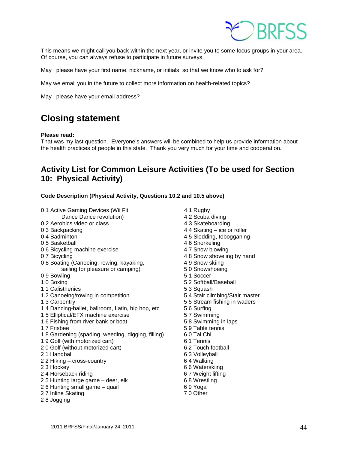

This means we might call you back within the next year, or invite you to some focus groups in your area. Of course, you can always refuse to participate in future surveys.

May I please have your first name, nickname, or initials, so that we know who to ask for?

May we email you in the future to collect more information on health-related topics?

May I please have your email address?

# <span id="page-43-0"></span>**Closing statement**

#### **Please read:**

That was my last question. Everyone's answers will be combined to help us provide information about the health practices of people in this state. Thank you very much for your time and cooperation.

# <span id="page-43-1"></span>**Activity List for Common Leisure Activities (To be used for Section 10: Physical Activity)**

|  | Code Description (Physical Activity, Questions 10.2 and 10.5 above) |
|--|---------------------------------------------------------------------|
|--|---------------------------------------------------------------------|

- 0 1 Active Gaming Devices (Wii Fit, 1994) 4 1 Rugby Dance Dance revolution) 4 2 Scuba diving 0 2 Aerobics video or class 4 3 Skateboarding 0 3 Backpacking **6 1 and 1 3 and 1 and 1 and 1 and 1 and 1 and 1 and 1 and 1 and 1 and 1 and 1 and 1 and 1 and 1 and 1 and 1 and 1 and 1 and 1 and 1 and 1 and 1 and 1 and 1 and 1 and 1 and 1 and 1 and 1 and 1 and 1 and 1 a** 0 4 Badminton **45 Sledding, tobogganing** 0 5 Basketball 4 6 Snorkeling<br>
0 6 Bicycling machine exercise 1980 1981 1982 4 7 Snow blowing 0 6 Bicycling machine exercise 0 7 Bicycling 10 8 8 Snow shoveling by hand<br>1 8 Boating (Canoeing, rowing, kayaking, 1988) 4 9 Snow skiing 0 8 Boating (Canoeing, rowing, kayaking, and a 4 9 Snow skiing sailing for pleasure or camping) 6 0 Snowshoeing sailing for pleasure or camping) 0 9 Bowling 6 1 Soccer 5 1 Soccer 1 0 Boxing 10 Boxing 10 Boxing 1 2 Softball/Baseball<br>1 1 Calisthenics 1 2 Softball 5 3 Squash 1 1 Calisthenics 1 2 Canoeing/rowing in competition 5 4 Stair climbing/Stair master 1 3 Carpentry 5 5 Stream fishing in waders 1 4 Dancing-ballet, ballroom, Latin, hip hop, etc 5 6 Surfing 1 5 Elliptical/EFX machine exercise 57 Swimming<br>1 6 Fishing from river bank or boat 58 Swimming in laps 1 6 Fishing from river bank or boat<br>1 7 Frisbee 1 8 Gardening (spading, weeding, digging, filling) 6 0 Tai Chi 1 9 Golf (with motorized cart)<br>
2 0 Golf (without motorized cart) 6 2 Touch football 2 0 Golf (without motorized cart) 2 1 Handball 10 and 5 3 Volleyball 12 2 Hiking - cross-country 10 and 10 and 10 and 10 and 10 and 10 and 10 an<br>1 and 10 and 10 and 10 and 10 and 10 and 10 and 10 and 10 and 10 and 10 and 10 and 10 and 10 and 10 and 10 and  $2 2$  Hiking – cross-country 2 3 Hockey 6 6 Waterskiing 24 Horseback riding 67 Weight lifting 2 5 Hunting large game – deer, elk 6 8 Wrestling 2 6 Hunting small game – quail 6 9 Yoga 2 7 Inline Skating 2 7 0 Other 2 8 Jogging
	- 5 9 Table tennis